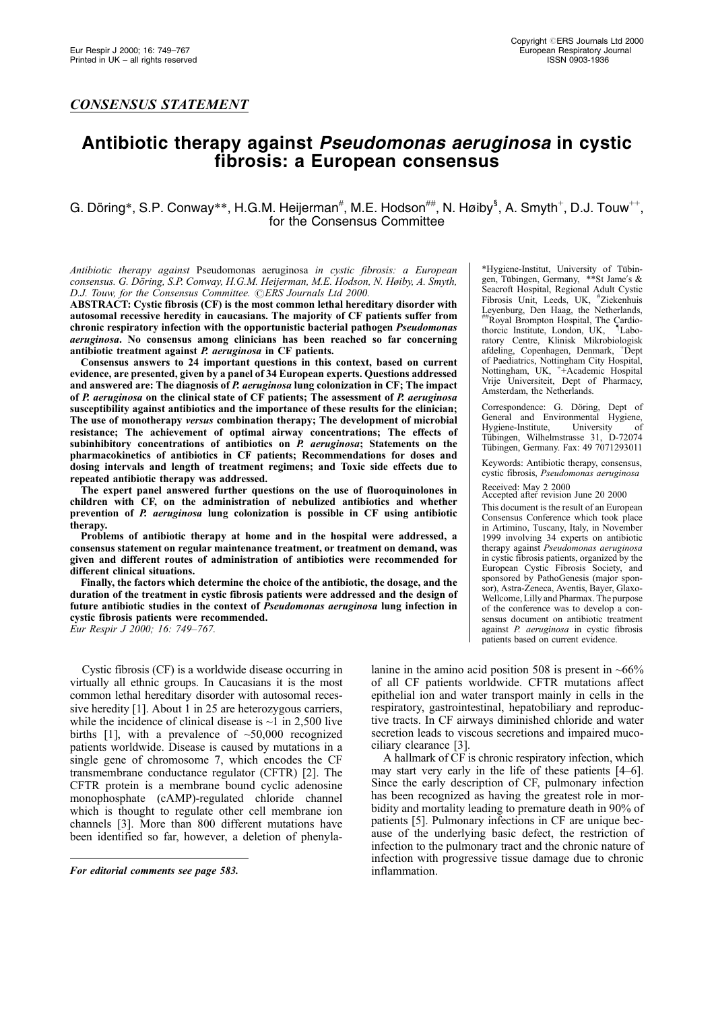## CONSENSUS STATEMENT

# Antibiotic therapy against Pseudomonas aeruginosa in cystic fibrosis: a European consensus

G. Döring\*, S.P. Conway\*\*, H.G.M. Heijerman<sup>#</sup>, M.E. Hodson<sup>##</sup>, N. Høiby<sup>§</sup>, A. Smyth<sup>+</sup>, D.J. Touw<sup>++</sup>, for the Consensus Committee

Antibiotic therapy against Pseudomonas aeruginosa in cystic fibrosis: a European consensus. G. Döring, S.P. Conway, H.G.M. Heijerman, M.E. Hodson, N. Høiby, A. Smyth,  $D.J.$  Touw, for the Consensus Committee.  $\mathbb{O}ERS$  Journals Ltd 2000.

ABSTRACT: Cystic fibrosis (CF) is the most common lethal hereditary disorder with autosomal recessive heredity in caucasians. The majority of CF patients suffer from chronic respiratory infection with the opportunistic bacterial pathogen Pseudomonas aeruginosa. No consensus among clinicians has been reached so far concerning antibiotic treatment against P. aeruginosa in CF patients.

Consensus answers to 24 important questions in this context, based on current evidence, are presented, given by a panel of 34 European experts. Questions addressed and answered are: The diagnosis of P. aeruginosa lung colonization in CF; The impact of P. aeruginosa on the clinical state of CF patients; The assessment of P. aeruginosa susceptibility against antibiotics and the importance of these results for the clinician; The use of monotherapy versus combination therapy; The development of microbial resistance; The achievement of optimal airway concentrations; The effects of subinhibitory concentrations of antibiotics on  $P$ , aeruginosa; Statements on the pharmacokinetics of antibiotics in CF patients; Recommendations for doses and dosing intervals and length of treatment regimens; and Toxic side effects due to repeated antibiotic therapy was addressed.

The expert panel answered further questions on the use of fluoroquinolones in children with CF, on the administration of nebulized antibiotics and whether prevention of P. aeruginosa lung colonization is possible in CF using antibiotic therapy.

Problems of antibiotic therapy at home and in the hospital were addressed, a consensus statement on regular maintenance treatment, or treatment on demand, was given and different routes of administration of antibiotics were recommended for different clinical situations.

Finally, the factors which determine the choice of the antibiotic, the dosage, and the duration of the treatment in cystic fibrosis patients were addressed and the design of future antibiotic studies in the context of Pseudomonas aeruginosa lung infection in cystic fibrosis patients were recommended. Eur Respir J 2000; 16: 749-767.

Cystic fibrosis (CF) is a worldwide disease occurring in virtually all ethnic groups. In Caucasians it is the most common lethal hereditary disorder with autosomal recessive heredity [1]. About 1 in 25 are heterozygous carriers, while the incidence of clinical disease is  $\sim$ 1 in 2,500 live births [1], with a prevalence of  $~50,000$  recognized patients worldwide. Disease is caused by mutations in a single gene of chromosome 7, which encodes the CF transmembrane conductance regulator (CFTR) [2]. The CFTR protein is a membrane bound cyclic adenosine monophosphate (cAMP)-regulated chloride channel which is thought to regulate other cell membrane ion channels [3]. More than 800 different mutations have been identified so far, however, a deletion of phenyla-

For editorial comments see page 583.

\*Hygiene-Institut, University of Tübingen, Tübingen, Germany, \*\*St Jame's & Seacroft Hospital, Regional Adult Cystic Fibrosis Unit, Leeds, UK, # Ziekenhuis Leyenburg, Den Haag, the Netherlands, #Royal Brompton Hospital, The Cardiothorcic Institute, London, UK, " Laboratory Centre, Klinisk Mikrobiologisk afdeling, Copenhagen, Denmark, <sup>+</sup> Dept of Paediatrics, Nottingham City Hospital, Nottingham, UK, <sup>+</sup>+Academic Hospital Vrije Universiteit, Dept of Pharmacy, Amsterdam, the Netherlands.

Correspondence: G. Döring, Dept of General and Environmental Hygiene, Hygiene-Institute, University Tübingen, Wilhelmstrasse 31, D-72074 Tübingen, Germany. Fax: 49 7071293011

Keywords: Antibiotic therapy, consensus, cystic fibrosis, Pseudomonas aeruginosa

Received: May 2 2000 Accepted after revision June 20 2000

This document is the result of an European Consensus Conference which took place in Artimino, Tuscany, Italy, in November 1999 involving 34 experts on antibiotic therapy against Pseudomonas aeruginosa in cystic fibrosis patients, organized by the European Cystic Fibrosis Society, and sponsored by PathoGenesis (major sponsor), Astra-Zeneca, Aventis, Bayer, Glaxo-Wellcome, Lilly and Pharmax. The purpose of the conference was to develop a consensus document on antibiotic treatment against P. aeruginosa in cystic fibrosis patients based on current evidence.

lanine in the amino acid position 508 is present in  $~66\%$ of all CF patients worldwide. CFTR mutations affect epithelial ion and water transport mainly in cells in the respiratory, gastrointestinal, hepatobiliary and reproductive tracts. In CF airways diminished chloride and water secretion leads to viscous secretions and impaired mucociliary clearance [3].

A hallmark of CF is chronic respiratory infection, which may start very early in the life of these patients  $[4–6]$ . Since the early description of CF, pulmonary infection has been recognized as having the greatest role in morbidity and mortality leading to premature death in 90% of patients [5]. Pulmonary infections in CF are unique because of the underlying basic defect, the restriction of infection to the pulmonary tract and the chronic nature of infection with progressive tissue damage due to chronic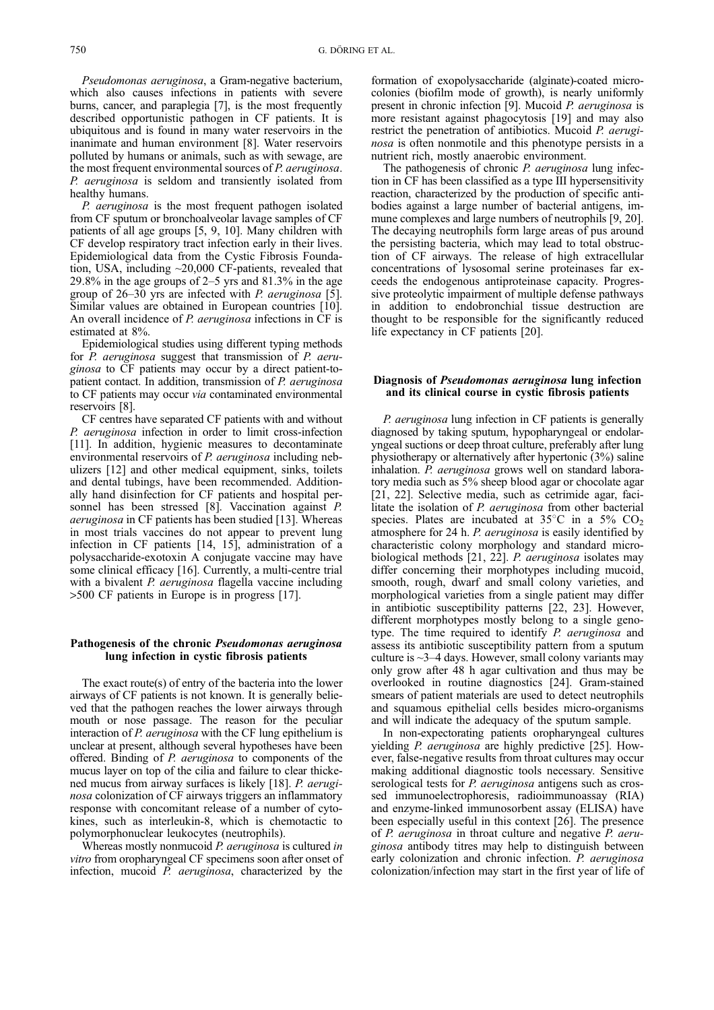Pseudomonas aeruginosa, a Gram-negative bacterium, which also causes infections in patients with severe burns, cancer, and paraplegia [7], is the most frequently described opportunistic pathogen in CF patients. It is ubiquitous and is found in many water reservoirs in the inanimate and human environment [8]. Water reservoirs polluted by humans or animals, such as with sewage, are the most frequent environmental sources of P. aeruginosa. P. aeruginosa is seldom and transiently isolated from healthy humans.

P. *aeruginosa* is the most frequent pathogen isolated from CF sputum or bronchoalveolar lavage samples of CF patients of all age groups [5, 9, 10]. Many children with CF develop respiratory tract infection early in their lives. Epidemiological data from the Cystic Fibrosis Foundation, USA, including ~20,000 CF-patients, revealed that 29.8% in the age groups of  $2-5$  yrs and 81.3% in the age group of  $26-30$  yrs are infected with *P. aeruginosa* [5]. Similar values are obtained in European countries [10]. An overall incidence of *P. aeruginosa* infections in CF is estimated at 8%.

Epidemiological studies using different typing methods for P. *aeruginosa* suggest that transmission of P. *aeru*ginosa to CF patients may occur by a direct patient-topatient contact. In addition, transmission of P. aeruginosa to CF patients may occur via contaminated environmental reservoirs [8].

CF centres have separated CF patients with and without P. aeruginosa infection in order to limit cross-infection [11]. In addition, hygienic measures to decontaminate environmental reservoirs of P. aeruginosa including nebulizers [12] and other medical equipment, sinks, toilets and dental tubings, have been recommended. Additionally hand disinfection for CF patients and hospital personnel has been stressed [8]. Vaccination against P. aeruginosa in CF patients has been studied [13]. Whereas in most trials vaccines do not appear to prevent lung infection in CF patients [14, 15], administration of a polysaccharide-exotoxin A conjugate vaccine may have some clinical efficacy [16]. Currently, a multi-centre trial with a bivalent *P. aeruginosa* flagella vaccine including >500 CF patients in Europe is in progress [17].

### Pathogenesis of the chronic Pseudomonas aeruginosa lung infection in cystic fibrosis patients

The exact route(s) of entry of the bacteria into the lower airways of CF patients is not known. It is generally believed that the pathogen reaches the lower airways through mouth or nose passage. The reason for the peculiar interaction of *P. aeruginosa* with the CF lung epithelium is unclear at present, although several hypotheses have been offered. Binding of P. aeruginosa to components of the mucus layer on top of the cilia and failure to clear thickened mucus from airway surfaces is likely [18]. P. aeruginosa colonization of CF airways triggers an inflammatory response with concomitant release of a number of cytokines, such as interleukin-8, which is chemotactic to polymorphonuclear leukocytes (neutrophils).

Whereas mostly nonmucoid P. aeruginosa is cultured in vitro from oropharyngeal CF specimens soon after onset of infection, mucoid P. aeruginosa, characterized by the

formation of exopolysaccharide (alginate)-coated microcolonies (biofilm mode of growth), is nearly uniformly present in chronic infection [9]. Mucoid P. aeruginosa is more resistant against phagocytosis [19] and may also restrict the penetration of antibiotics. Mucoid P. aeruginosa is often nonmotile and this phenotype persists in a nutrient rich, mostly anaerobic environment.

The pathogenesis of chronic P. aeruginosa lung infection in CF has been classified as a type III hypersensitivity reaction, characterized by the production of specific antibodies against a large number of bacterial antigens, immune complexes and large numbers of neutrophils [9, 20]. The decaying neutrophils form large areas of pus around the persisting bacteria, which may lead to total obstruction of CF airways. The release of high extracellular concentrations of lysosomal serine proteinases far exceeds the endogenous antiproteinase capacity. Progressive proteolytic impairment of multiple defense pathways in addition to endobronchial tissue destruction are thought to be responsible for the significantly reduced life expectancy in CF patients [20].

#### Diagnosis of Pseudomonas aeruginosa lung infection and its clinical course in cystic fibrosis patients

P. aeruginosa lung infection in CF patients is generally diagnosed by taking sputum, hypopharyngeal or endolaryngeal suctions or deep throat culture, preferably after lung physiotherapy or alternatively after hypertonic (3%) saline inhalation. P. *aeruginosa* grows well on standard laboratory media such as 5% sheep blood agar or chocolate agar [21, 22]. Selective media, such as cetrimide agar, facilitate the isolation of P. aeruginosa from other bacterial species. Plates are incubated at  $35^{\circ}$ C in a  $5\%$  CO<sub>2</sub> atmosphere for 24 h. P. aeruginosa is easily identified by characteristic colony morphology and standard microbiological methods [21, 22]. P. aeruginosa isolates may differ concerning their morphotypes including mucoid, smooth, rough, dwarf and small colony varieties, and morphological varieties from a single patient may differ in antibiotic susceptibility patterns [22, 23]. However, different morphotypes mostly belong to a single genotype. The time required to identify P. aeruginosa and assess its antibiotic susceptibility pattern from a sputum culture is  $\sim$ 3 $\sim$ 4 days. However, small colony variants may only grow after 48 h agar cultivation and thus may be overlooked in routine diagnostics [24]. Gram-stained smears of patient materials are used to detect neutrophils and squamous epithelial cells besides micro-organisms and will indicate the adequacy of the sputum sample.

In non-expectorating patients oropharyngeal cultures yielding P. aeruginosa are highly predictive [25]. However, false-negative results from throat cultures may occur making additional diagnostic tools necessary. Sensitive serological tests for *P. aeruginosa* antigens such as crossed immunoelectrophoresis, radioimmunoassay (RIA) and enzyme-linked immunosorbent assay (ELISA) have been especially useful in this context [26]. The presence of P. aeruginosa in throat culture and negative P. aeruginosa antibody titres may help to distinguish between early colonization and chronic infection. P. aeruginosa colonization/infection may start in the first year of life of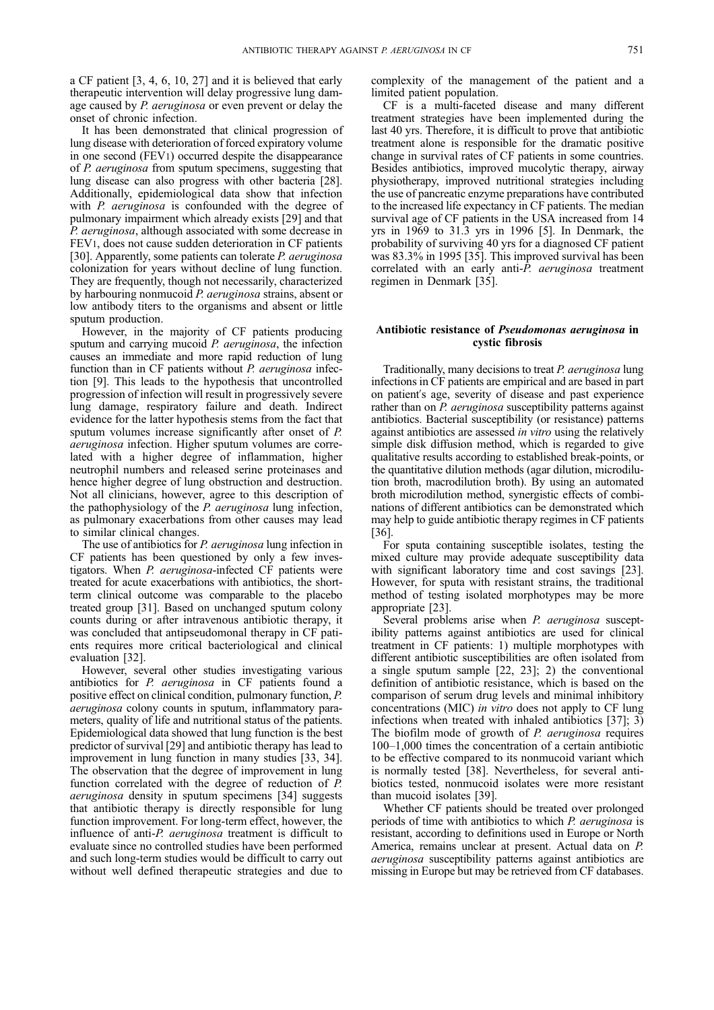a CF patient [3, 4, 6, 10, 27] and it is believed that early therapeutic intervention will delay progressive lung damage caused by P. aeruginosa or even prevent or delay the onset of chronic infection.

It has been demonstrated that clinical progression of lung disease with deterioration of forced expiratory volume in one second (FEV1) occurred despite the disappearance of P. aeruginosa from sputum specimens, suggesting that lung disease can also progress with other bacteria [28]. Additionally, epidemiological data show that infection with *P. aeruginosa* is confounded with the degree of pulmonary impairment which already exists [29] and that P. aeruginosa, although associated with some decrease in FEV1, does not cause sudden deterioration in CF patients [30]. Apparently, some patients can tolerate P. aeruginosa colonization for years without decline of lung function. They are frequently, though not necessarily, characterized by harbouring nonmucoid P. aeruginosa strains, absent or low antibody titers to the organisms and absent or little sputum production.

However, in the majority of CF patients producing sputum and carrying mucoid *P. aeruginosa*, the infection causes an immediate and more rapid reduction of lung function than in CF patients without *P. aeruginosa* infection [9]. This leads to the hypothesis that uncontrolled progression of infection will result in progressively severe lung damage, respiratory failure and death. Indirect evidence for the latter hypothesis stems from the fact that sputum volumes increase significantly after onset of P. aeruginosa infection. Higher sputum volumes are correlated with a higher degree of inflammation, higher neutrophil numbers and released serine proteinases and hence higher degree of lung obstruction and destruction. Not all clinicians, however, agree to this description of the pathophysiology of the P. aeruginosa lung infection, as pulmonary exacerbations from other causes may lead to similar clinical changes.

The use of antibiotics for P. aeruginosa lung infection in CF patients has been questioned by only a few investigators. When P. aeruginosa-infected CF patients were treated for acute exacerbations with antibiotics, the shortterm clinical outcome was comparable to the placebo treated group [31]. Based on unchanged sputum colony counts during or after intravenous antibiotic therapy, it was concluded that antipseudomonal therapy in CF patients requires more critical bacteriological and clinical evaluation [32].

However, several other studies investigating various antibiotics for P. aeruginosa in CF patients found a positive effect on clinical condition, pulmonary function, P. aeruginosa colony counts in sputum, inflammatory parameters, quality of life and nutritional status of the patients. Epidemiological data showed that lung function is the best predictor of survival [29] and antibiotic therapy has lead to improvement in lung function in many studies [33, 34]. The observation that the degree of improvement in lung function correlated with the degree of reduction of P. aeruginosa density in sputum specimens [34] suggests that antibiotic therapy is directly responsible for lung function improvement. For long-term effect, however, the influence of anti-P. *aeruginosa* treatment is difficult to evaluate since no controlled studies have been performed and such long-term studies would be difficult to carry out without well defined therapeutic strategies and due to

complexity of the management of the patient and a limited patient population.

CF is a multi-faceted disease and many different treatment strategies have been implemented during the last 40 yrs. Therefore, it is difficult to prove that antibiotic treatment alone is responsible for the dramatic positive change in survival rates of CF patients in some countries. Besides antibiotics, improved mucolytic therapy, airway physiotherapy, improved nutritional strategies including the use of pancreatic enzyme preparations have contributed to the increased life expectancy in CF patients. The median survival age of CF patients in the USA increased from 14 yrs in 1969 to 31.3 yrs in 1996 [5]. In Denmark, the probability of surviving 40 yrs for a diagnosed CF patient was 83.3% in 1995 [35]. This improved survival has been correlated with an early anti-P. aeruginosa treatment regimen in Denmark [35].

#### Antibiotic resistance of Pseudomonas aeruginosa in cystic fibrosis

Traditionally, many decisions to treat P. aeruginosa lung infections in CF patients are empirical and are based in part on patient's age, severity of disease and past experience rather than on *P. aeruginosa* susceptibility patterns against antibiotics. Bacterial susceptibility (or resistance) patterns against antibiotics are assessed in vitro using the relatively simple disk diffusion method, which is regarded to give qualitative results according to established break-points, or the quantitative dilution methods (agar dilution, microdilution broth, macrodilution broth). By using an automated broth microdilution method, synergistic effects of combinations of different antibiotics can be demonstrated which may help to guide antibiotic therapy regimes in CF patients [36].

For sputa containing susceptible isolates, testing the mixed culture may provide adequate susceptibility data with significant laboratory time and cost savings [23]. However, for sputa with resistant strains, the traditional method of testing isolated morphotypes may be more appropriate [23].

Several problems arise when P. aeruginosa susceptibility patterns against antibiotics are used for clinical treatment in CF patients: 1) multiple morphotypes with different antibiotic susceptibilities are often isolated from a single sputum sample [22, 23]; 2) the conventional definition of antibiotic resistance, which is based on the comparison of serum drug levels and minimal inhibitory concentrations (MIC) in vitro does not apply to CF lung infections when treated with inhaled antibiotics [37]; 3) The biofilm mode of growth of P. *aeruginosa* requires  $100-1,000$  times the concentration of a certain antibiotic to be effective compared to its nonmucoid variant which is normally tested [38]. Nevertheless, for several antibiotics tested, nonmucoid isolates were more resistant than mucoid isolates [39].

Whether CF patients should be treated over prolonged periods of time with antibiotics to which P. aeruginosa is resistant, according to definitions used in Europe or North America, remains unclear at present. Actual data on P. aeruginosa susceptibility patterns against antibiotics are missing in Europe but may be retrieved from CF databases.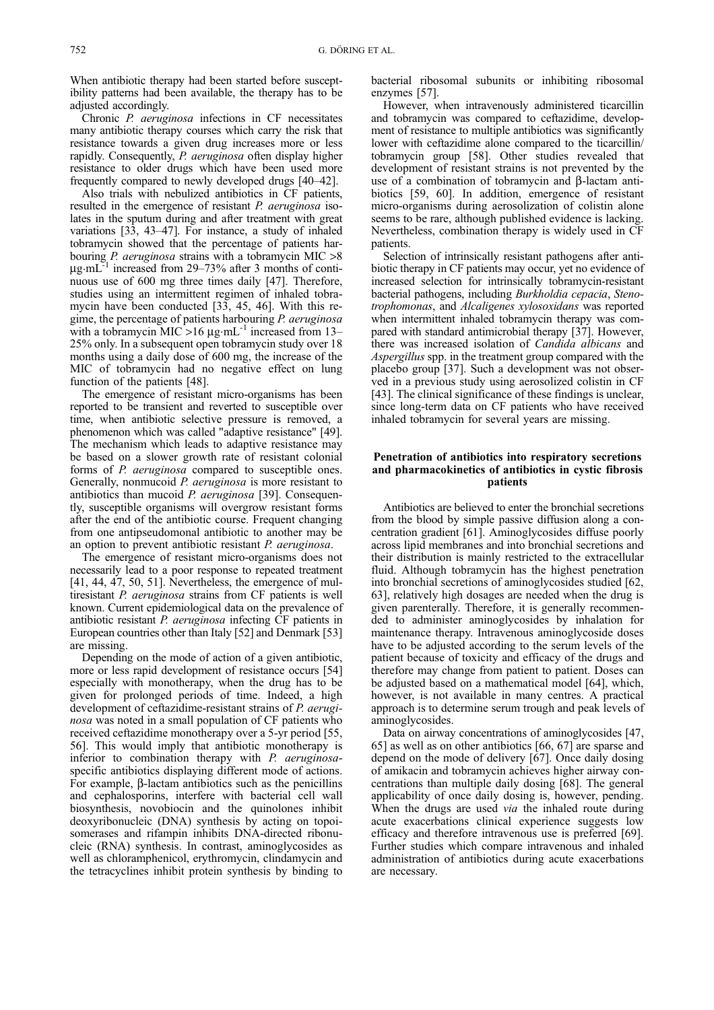When antibiotic therapy had been started before susceptibility patterns had been available, the therapy has to be adjusted accordingly.

Chronic P. aeruginosa infections in CF necessitates many antibiotic therapy courses which carry the risk that resistance towards a given drug increases more or less rapidly. Consequently, *P. aeruginosa* often display higher resistance to older drugs which have been used more frequently compared to newly developed drugs [40–42].

Also trials with nebulized antibiotics in CF patients, resulted in the emergence of resistant P. aeruginosa isolates in the sputum during and after treatment with great variations  $[33, 43-47]$ . For instance, a study of inhaled tobramycin showed that the percentage of patients harbouring P. aeruginosa strains with a tobramycin MIC >8  $\mu$ g·mL<sup>-1</sup> increased from 29–73% after 3 months of continuous use of 600 mg three times daily [47]. Therefore, studies using an intermittent regimen of inhaled tobramycin have been conducted [33, 45, 46]. With this regime, the percentage of patients harbouring P. aeruginosa with a tobramycin MIC >16  $\mu$ g·mL<sup>-1</sup> increased from 13– 25% only. In a subsequent open tobramycin study over 18 months using a daily dose of 600 mg, the increase of the MIC of tobramycin had no negative effect on lung function of the patients [48].

The emergence of resistant micro-organisms has been reported to be transient and reverted to susceptible over time, when antibiotic selective pressure is removed, a phenomenon which was called "adaptive resistance" [49]. The mechanism which leads to adaptive resistance may be based on a slower growth rate of resistant colonial forms of *P. aeruginosa* compared to susceptible ones. Generally, nonmucoid P. aeruginosa is more resistant to antibiotics than mucoid P. aeruginosa [39]. Consequently, susceptible organisms will overgrow resistant forms after the end of the antibiotic course. Frequent changing from one antipseudomonal antibiotic to another may be an option to prevent antibiotic resistant P. aeruginosa.

The emergence of resistant micro-organisms does not necessarily lead to a poor response to repeated treatment [41, 44, 47, 50, 51]. Nevertheless, the emergence of multiresistant P. aeruginosa strains from CF patients is well known. Current epidemiological data on the prevalence of antibiotic resistant P. aeruginosa infecting CF patients in European countries other than Italy [52] and Denmark [53] are missing.

Depending on the mode of action of a given antibiotic, more or less rapid development of resistance occurs [54] especially with monotherapy, when the drug has to be given for prolonged periods of time. Indeed, a high development of ceftazidime-resistant strains of P. aeruginosa was noted in a small population of CF patients who received ceftazidime monotherapy over a 5-yr period [55, 56]. This would imply that antibiotic monotherapy is inferior to combination therapy with P. aeruginosaspecific antibiotics displaying different mode of actions. For example,  $\beta$ -lactam antibiotics such as the penicillins and cephalosporins, interfere with bacterial cell wall biosynthesis, novobiocin and the quinolones inhibit deoxyribonucleic (DNA) synthesis by acting on topoisomerases and rifampin inhibits DNA-directed ribonucleic (RNA) synthesis. In contrast, aminoglycosides as well as chloramphenicol, erythromycin, clindamycin and the tetracyclines inhibit protein synthesis by binding to

bacterial ribosomal subunits or inhibiting ribosomal enzymes [57].

However, when intravenously administered ticarcillin and tobramycin was compared to ceftazidime, development of resistance to multiple antibiotics was significantly lower with ceftazidime alone compared to the ticarcillin/ tobramycin group [58]. Other studies revealed that development of resistant strains is not prevented by the use of a combination of tobramycin and  $\beta$ -lactam antibiotics [59, 60]. In addition, emergence of resistant micro-organisms during aerosolization of colistin alone seems to be rare, although published evidence is lacking. Nevertheless, combination therapy is widely used in CF patients.

Selection of intrinsically resistant pathogens after antibiotic therapy in CF patients may occur, yet no evidence of increased selection for intrinsically tobramycin-resistant bacterial pathogens, including Burkholdia cepacia, Stenotrophomonas, and Alcaligenes xylosoxidans was reported when intermittent inhaled tobramycin therapy was compared with standard antimicrobial therapy [37]. However, there was increased isolation of Candida albicans and Aspergillus spp. in the treatment group compared with the placebo group [37]. Such a development was not observed in a previous study using aerosolized colistin in CF [43]. The clinical significance of these findings is unclear, since long-term data on CF patients who have received inhaled tobramycin for several years are missing.

#### Penetration of antibiotics into respiratory secretions and pharmacokinetics of antibiotics in cystic fibrosis patients

Antibiotics are believed to enter the bronchial secretions from the blood by simple passive diffusion along a concentration gradient [61]. Aminoglycosides diffuse poorly across lipid membranes and into bronchial secretions and their distribution is mainly restricted to the extracellular fluid. Although tobramycin has the highest penetration into bronchial secretions of aminoglycosides studied [62, 63], relatively high dosages are needed when the drug is given parenterally. Therefore, it is generally recommended to administer aminoglycosides by inhalation for maintenance therapy. Intravenous aminoglycoside doses have to be adjusted according to the serum levels of the patient because of toxicity and efficacy of the drugs and therefore may change from patient to patient. Doses can be adjusted based on a mathematical model [64], which, however, is not available in many centres. A practical approach is to determine serum trough and peak levels of aminoglycosides.

Data on airway concentrations of aminoglycosides [47, 65] as well as on other antibiotics [66, 67] are sparse and depend on the mode of delivery [67]. Once daily dosing of amikacin and tobramycin achieves higher airway concentrations than multiple daily dosing [68]. The general applicability of once daily dosing is, however, pending. When the drugs are used *via* the inhaled route during acute exacerbations clinical experience suggests low efficacy and therefore intravenous use is preferred [69]. Further studies which compare intravenous and inhaled administration of antibiotics during acute exacerbations are necessary.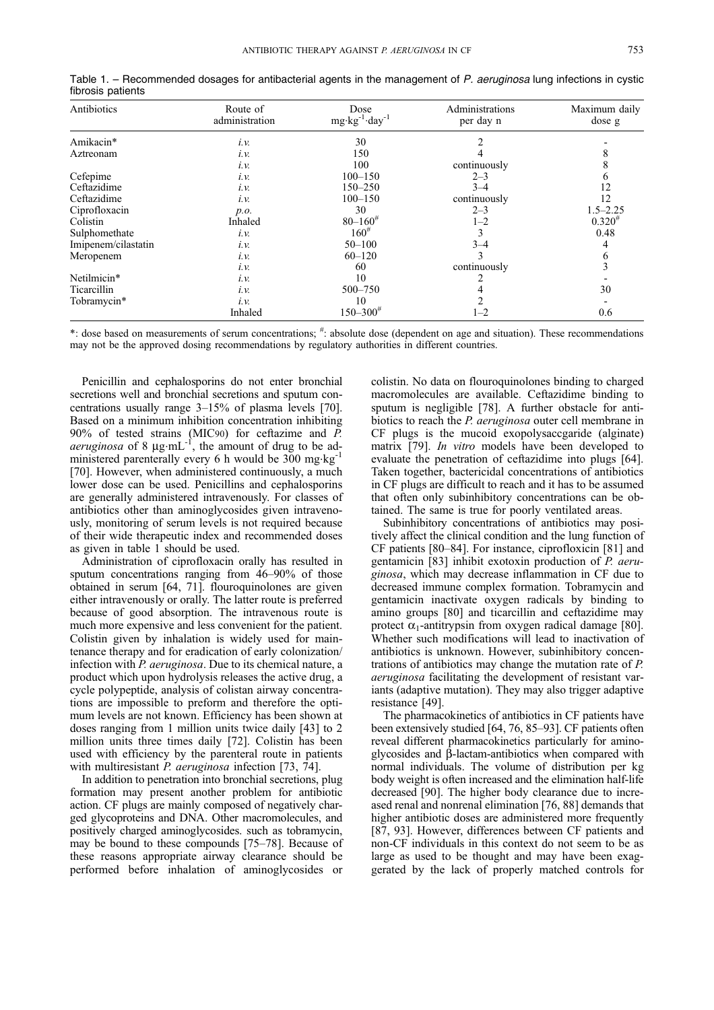| Antibiotics         | Route of<br>administration | Dose<br>$mg \cdot kg^{-1} \cdot day^{-1}$ | Administrations<br>per day n | Maximum daily<br>dose g |
|---------------------|----------------------------|-------------------------------------------|------------------------------|-------------------------|
| Amikacin*           | $i \nu$                    | 30                                        |                              |                         |
| Aztreonam           | $i \nu$                    | 150                                       |                              |                         |
|                     | $i \nu$                    | 100                                       | continuously                 |                         |
| Cefepime            | i.v.                       | $100 - 150$                               | $2 - 3$                      | n                       |
| Ceftazidime         | $i \nu$                    | $150 - 250$                               | $3 - 4$                      | 12                      |
| Ceftazidime         | $i \nu$                    | $100 - 150$                               | continuously                 | 12                      |
| Ciprofloxacin       | p.o.                       | 30                                        | $2 - 3$                      | $1.5 - 2.25$            |
| Colistin            | Inhaled                    | $80 - 160^{\#}$                           | $1 - 2$                      | $0.320^{#}$             |
| Sulphomethate       | $i \nu$                    | $160^{#}$                                 |                              | 0.48                    |
| Imipenem/cilastatin | $i \nu$                    | $50 - 100$                                | $3 - 4$                      |                         |
| Meropenem           | $i \nu$                    | $60 - 120$                                |                              | 6                       |
|                     | $i \nu$                    | 60                                        | continuously                 |                         |
| Netilmicin*         | $i \nu$                    | 10                                        |                              |                         |
| Ticarcillin         | $i \nu$                    | $500 - 750$                               |                              | 30                      |
| Tobramycin*         | $i \nu$                    | 10                                        |                              |                         |
|                     | Inhaled                    | $150 - 300^{\#}$                          | $1 - 2$                      | 0.6                     |

Table 1. - Recommended dosages for antibacterial agents in the management of P. aeruginosa lung infections in cystic fibrosis patients

\*: dose based on measurements of serum concentrations; #: absolute dose (dependent on age and situation). These recommendations may not be the approved dosing recommendations by regulatory authorities in different countries.

Penicillin and cephalosporins do not enter bronchial secretions well and bronchial secretions and sputum concentrations usually range  $3-15%$  of plasma levels [70]. Based on a minimum inhibition concentration inhibiting 90% of tested strains (MIC90) for ceftazime and P. aeruginosa of 8  $\mu$ g·mL<sup>-1</sup>, the amount of drug to be administered parenterally every 6 h would be 300 mg kg<sup>-1</sup> [70]. However, when administered continuously, a much lower dose can be used. Penicillins and cephalosporins are generally administered intravenously. For classes of antibiotics other than aminoglycosides given intravenously, monitoring of serum levels is not required because of their wide therapeutic index and recommended doses as given in table 1 should be used.

Administration of ciprofloxacin orally has resulted in sputum concentrations ranging from  $46-90\%$  of those obtained in serum [64, 71]. flouroquinolones are given either intravenously or orally. The latter route is preferred because of good absorption. The intravenous route is much more expensive and less convenient for the patient. Colistin given by inhalation is widely used for maintenance therapy and for eradication of early colonization/ infection with P. aeruginosa. Due to its chemical nature, a product which upon hydrolysis releases the active drug, a cycle polypeptide, analysis of colistan airway concentrations are impossible to preform and therefore the optimum levels are not known. Efficiency has been shown at doses ranging from 1 million units twice daily [43] to 2 million units three times daily [72]. Colistin has been used with efficiency by the parenteral route in patients with multiresistant *P. aeruginosa* infection [73, 74].

In addition to penetration into bronchial secretions, plug formation may present another problem for antibiotic action. CF plugs are mainly composed of negatively charged glycoproteins and DNA. Other macromolecules, and positively charged aminoglycosides. such as tobramycin, may be bound to these compounds [75–78]. Because of these reasons appropriate airway clearance should be performed before inhalation of aminoglycosides or

colistin. No data on flouroquinolones binding to charged macromolecules are available. Ceftazidime binding to sputum is negligible [78]. A further obstacle for antibiotics to reach the *P. aeruginosa* outer cell membrane in CF plugs is the mucoid exopolysaccgaride (alginate) matrix [79]. *In vitro* models have been developed to evaluate the penetration of ceftazidime into plugs [64]. Taken together, bactericidal concentrations of antibiotics in CF plugs are difficult to reach and it has to be assumed that often only subinhibitory concentrations can be obtained. The same is true for poorly ventilated areas.

Subinhibitory concentrations of antibiotics may positively affect the clinical condition and the lung function of CF patients [80–84]. For instance, ciprofloxicin [81] and gentamicin [83] inhibit exotoxin production of P. aeruginosa, which may decrease inflammation in CF due to decreased immune complex formation. Tobramycin and gentamicin inactivate oxygen radicals by binding to amino groups [80] and ticarcillin and ceftazidime may protect  $\alpha_1$ -antitrypsin from oxygen radical damage [80]. Whether such modifications will lead to inactivation of antibiotics is unknown. However, subinhibitory concentrations of antibiotics may change the mutation rate of P. aeruginosa facilitating the development of resistant variants (adaptive mutation). They may also trigger adaptive resistance [49].

The pharmacokinetics of antibiotics in CF patients have been extensively studied [64, 76, 85-93]. CF patients often reveal different pharmacokinetics particularly for aminoglycosides and  $\beta$ -lactam-antibiotics when compared with normal individuals. The volume of distribution per kg body weight is often increased and the elimination half-life decreased [90]. The higher body clearance due to increased renal and nonrenal elimination [76, 88] demands that higher antibiotic doses are administered more frequently [87, 93]. However, differences between CF patients and non-CF individuals in this context do not seem to be as large as used to be thought and may have been exaggerated by the lack of properly matched controls for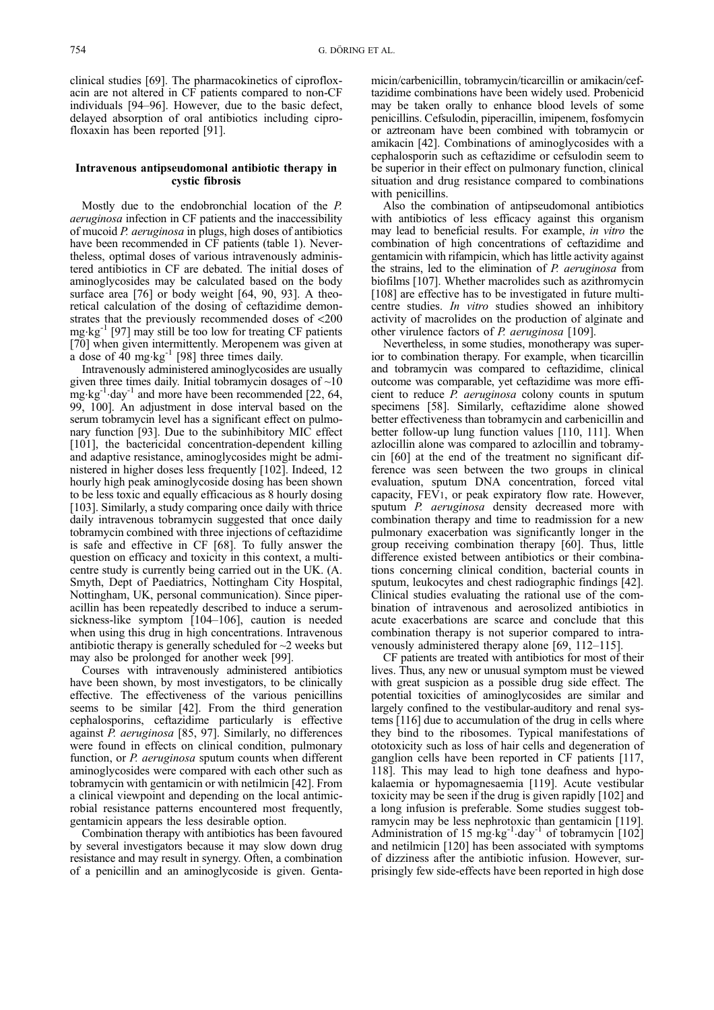clinical studies [69]. The pharmacokinetics of ciprofloxacin are not altered in CF patients compared to non-CF individuals  $[94–96]$ . However, due to the basic defect, delayed absorption of oral antibiotics including ciprofloxaxin has been reported [91].

#### Intravenous antipseudomonal antibiotic therapy in cystic fibrosis

Mostly due to the endobronchial location of the P. aeruginosa infection in CF patients and the inaccessibility of mucoid P. aeruginosa in plugs, high doses of antibiotics have been recommended in CF patients (table 1). Nevertheless, optimal doses of various intravenously administered antibiotics in CF are debated. The initial doses of aminoglycosides may be calculated based on the body surface area [76] or body weight [64, 90, 93]. A theoretical calculation of the dosing of ceftazidime demonstrates that the previously recommended doses of <200 mg $\text{kg}^{-1}$  [97] may still be too low for treating CF patients [70] when given intermittently. Meropenem was given at a dose of 40 mg·kg<sup>-1</sup> [98] three times daily.

Intravenously administered aminoglycosides are usually given three times daily. Initial tobramycin dosages of  $~10$  $mg \cdot kg^{-1} \cdot day^{-1}$  and more have been recommended [22, 64, 99, 100]. An adjustment in dose interval based on the serum tobramycin level has a significant effect on pulmonary function [93]. Due to the subinhibitory MIC effect [101], the bactericidal concentration-dependent killing and adaptive resistance, aminoglycosides might be administered in higher doses less frequently [102]. Indeed, 12 hourly high peak aminoglycoside dosing has been shown to be less toxic and equally efficacious as 8 hourly dosing [103]. Similarly, a study comparing once daily with thrice daily intravenous tobramycin suggested that once daily tobramycin combined with three injections of ceftazidime is safe and effective in CF [68]. To fully answer the question on efficacy and toxicity in this context, a multicentre study is currently being carried out in the UK. (A. Smyth, Dept of Paediatrics, Nottingham City Hospital, Nottingham, UK, personal communication). Since piperacillin has been repeatedly described to induce a serumsickness-like symptom  $[104–106]$ , caution is needed when using this drug in high concentrations. Intravenous antibiotic therapy is generally scheduled for  $\sim$ 2 weeks but may also be prolonged for another week [99].

Courses with intravenously administered antibiotics have been shown, by most investigators, to be clinically effective. The effectiveness of the various penicillins seems to be similar [42]. From the third generation cephalosporins, ceftazidime particularly is effective against P. aeruginosa [85, 97]. Similarly, no differences were found in effects on clinical condition, pulmonary function, or P. aeruginosa sputum counts when different aminoglycosides were compared with each other such as tobramycin with gentamicin or with netilmicin [42]. From a clinical viewpoint and depending on the local antimicrobial resistance patterns encountered most frequently, gentamicin appears the less desirable option.

Combination therapy with antibiotics has been favoured by several investigators because it may slow down drug resistance and may result in synergy. Often, a combination of a penicillin and an aminoglycoside is given. Gentamicin/carbenicillin, tobramycin/ticarcillin or amikacin/ceftazidime combinations have been widely used. Probenicid may be taken orally to enhance blood levels of some penicillins. Cefsulodin, piperacillin, imipenem, fosfomycin or aztreonam have been combined with tobramycin or amikacin [42]. Combinations of aminoglycosides with a cephalosporin such as ceftazidime or cefsulodin seem to be superior in their effect on pulmonary function, clinical situation and drug resistance compared to combinations with penicillins.

Also the combination of antipseudomonal antibiotics with antibiotics of less efficacy against this organism may lead to beneficial results. For example, in vitro the combination of high concentrations of ceftazidime and gentamicin with rifampicin, which has little activity against the strains, led to the elimination of P. aeruginosa from biofilms [107]. Whether macrolides such as azithromycin [108] are effective has to be investigated in future multicentre studies. In vitro studies showed an inhibitory activity of macrolides on the production of alginate and other virulence factors of P. aeruginosa [109].

Nevertheless, in some studies, monotherapy was superior to combination therapy. For example, when ticarcillin and tobramycin was compared to ceftazidime, clinical outcome was comparable, yet ceftazidime was more efficient to reduce P. aeruginosa colony counts in sputum specimens [58]. Similarly, ceftazidime alone showed better effectiveness than tobramycin and carbenicillin and better follow-up lung function values [110, 111]. When azlocillin alone was compared to azlocillin and tobramycin [60] at the end of the treatment no significant difference was seen between the two groups in clinical evaluation, sputum DNA concentration, forced vital capacity,  $FEV1$ , or peak expiratory flow rate. However, sputum P. aeruginosa density decreased more with combination therapy and time to readmission for a new pulmonary exacerbation was significantly longer in the group receiving combination therapy [60]. Thus, little difference existed between antibiotics or their combinations concerning clinical condition, bacterial counts in sputum, leukocytes and chest radiographic findings [42]. Clinical studies evaluating the rational use of the combination of intravenous and aerosolized antibiotics in acute exacerbations are scarce and conclude that this combination therapy is not superior compared to intravenously administered therapy alone  $[69, 112-115]$ .

CF patients are treated with antibiotics for most of their lives. Thus, any new or unusual symptom must be viewed with great suspicion as a possible drug side effect. The potential toxicities of aminoglycosides are similar and largely confined to the vestibular-auditory and renal systems [116] due to accumulation of the drug in cells where they bind to the ribosomes. Typical manifestations of ototoxicity such as loss of hair cells and degeneration of ganglion cells have been reported in CF patients [117, 118]. This may lead to high tone deafness and hypokalaemia or hypomagnesaemia [119]. Acute vestibular toxicity may be seen if the drug is given rapidly [102] and a long infusion is preferable. Some studies suggest tobramycin may be less nephrotoxic than gentamicin [119]. Administration of 15 mg·kg<sup>-1</sup>·day<sup>-1</sup> of tobramycin [102] and netilmicin [120] has been associated with symptoms of dizziness after the antibiotic infusion. However, surprisingly few side-effects have been reported in high dose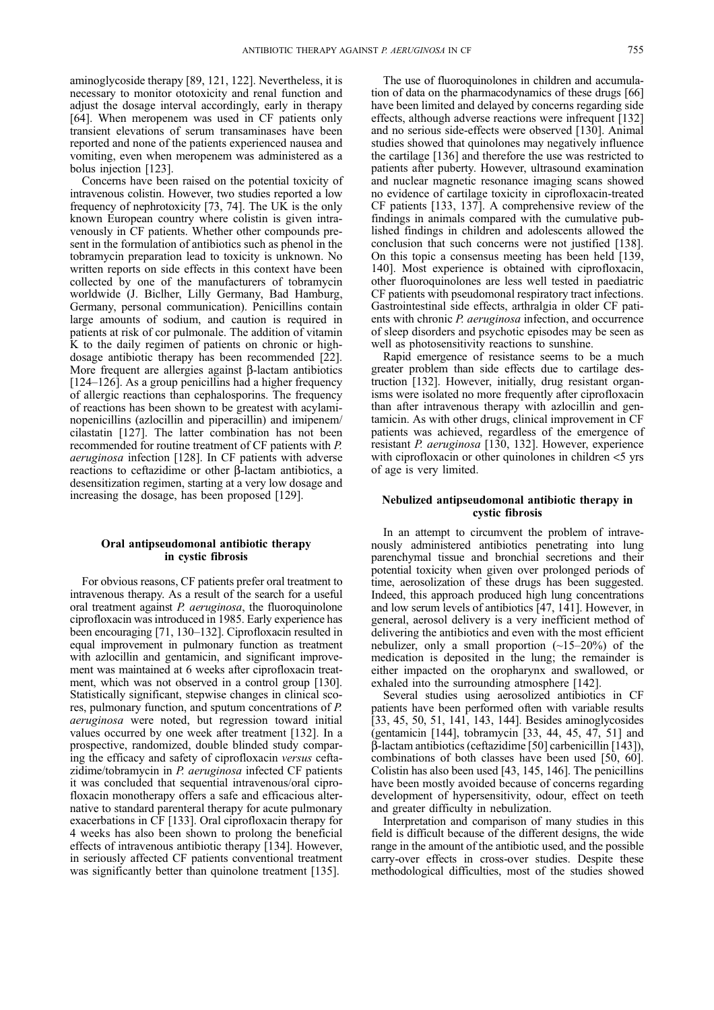aminoglycoside therapy [89, 121, 122]. Nevertheless, it is necessary to monitor ototoxicity and renal function and adjust the dosage interval accordingly, early in therapy [64]. When meropenem was used in CF patients only transient elevations of serum transaminases have been reported and none of the patients experienced nausea and vomiting, even when meropenem was administered as a bolus injection [123].

Concerns have been raised on the potential toxicity of intravenous colistin. However, two studies reported a low frequency of nephrotoxicity [73, 74]. The UK is the only known European country where colistin is given intravenously in CF patients. Whether other compounds present in the formulation of antibiotics such as phenol in the tobramycin preparation lead to toxicity is unknown. No written reports on side effects in this context have been collected by one of the manufacturers of tobramycin worldwide (J. Biclher, Lilly Germany, Bad Hamburg, Germany, personal communication). Penicillins contain large amounts of sodium, and caution is required in patients at risk of cor pulmonale. The addition of vitamin K to the daily regimen of patients on chronic or highdosage antibiotic therapy has been recommended [22]. More frequent are allergies against  $\beta$ -lactam antibiotics  $[124–126]$ . As a group penicillins had a higher frequency of allergic reactions than cephalosporins. The frequency of reactions has been shown to be greatest with acylaminopenicillins (azlocillin and piperacillin) and imipenem/ cilastatin [127]. The latter combination has not been recommended for routine treatment of CF patients with P. aeruginosa infection [128]. In CF patients with adverse reactions to ceftazidime or other  $\beta$ -lactam antibiotics, a desensitization regimen, starting at a very low dosage and increasing the dosage, has been proposed [129].

#### Oral antipseudomonal antibiotic therapy in cystic fibrosis

For obvious reasons, CF patients prefer oral treatment to intravenous therapy. As a result of the search for a useful oral treatment against P. aeruginosa, the fluoroquinolone ciprofloxacin was introduced in 1985. Early experience has been encouraging [71, 130–132]. Ciprofloxacin resulted in equal improvement in pulmonary function as treatment with azlocillin and gentamicin, and significant improvement was maintained at 6 weeks after ciprofloxacin treatment, which was not observed in a control group [130]. Statistically significant, stepwise changes in clinical scores, pulmonary function, and sputum concentrations of P. aeruginosa were noted, but regression toward initial values occurred by one week after treatment [132]. In a prospective, randomized, double blinded study comparing the efficacy and safety of ciprofloxacin versus ceftazidime/tobramycin in P. aeruginosa infected CF patients it was concluded that sequential intravenous/oral ciprofloxacin monotherapy offers a safe and efficacious alternative to standard parenteral therapy for acute pulmonary exacerbations in CF [133]. Oral ciprofloxacin therapy for 4 weeks has also been shown to prolong the beneficial effects of intravenous antibiotic therapy [134]. However, in seriously affected CF patients conventional treatment was significantly better than quinolone treatment [135].

The use of fluoroquinolones in children and accumulation of data on the pharmacodynamics of these drugs [66] have been limited and delayed by concerns regarding side effects, although adverse reactions were infrequent [132] and no serious side-effects were observed [130]. Animal studies showed that quinolones may negatively influence the cartilage [136] and therefore the use was restricted to patients after puberty. However, ultrasound examination and nuclear magnetic resonance imaging scans showed no evidence of cartilage toxicity in ciprofloxacin-treated CF patients [133, 137]. A comprehensive review of the findings in animals compared with the cumulative published findings in children and adolescents allowed the conclusion that such concerns were not justified [138]. On this topic a consensus meeting has been held [139, 140]. Most experience is obtained with ciprofloxacin, other fluoroquinolones are less well tested in paediatric CF patients with pseudomonal respiratory tract infections. Gastrointestinal side effects, arthralgia in older CF patients with chronic P. aeruginosa infection, and occurrence of sleep disorders and psychotic episodes may be seen as well as photosensitivity reactions to sunshine.

Rapid emergence of resistance seems to be a much greater problem than side effects due to cartilage destruction [132]. However, initially, drug resistant organisms were isolated no more frequently after ciprofloxacin than after intravenous therapy with azlocillin and gentamicin. As with other drugs, clinical improvement in CF patients was achieved, regardless of the emergence of resistant P. aeruginosa [130, 132]. However, experience with ciprofloxacin or other quinolones in children <5 yrs of age is very limited.

#### Nebulized antipseudomonal antibiotic therapy in cystic fibrosis

In an attempt to circumvent the problem of intravenously administered antibiotics penetrating into lung parenchymal tissue and bronchial secretions and their potential toxicity when given over prolonged periods of time, aerosolization of these drugs has been suggested. Indeed, this approach produced high lung concentrations and low serum levels of antibiotics [47, 141]. However, in general, aerosol delivery is a very inefficient method of delivering the antibiotics and even with the most efficient nebulizer, only a small proportion  $(\sim 15-20\%)$  of the medication is deposited in the lung; the remainder is either impacted on the oropharynx and swallowed, or exhaled into the surrounding atmosphere [142].

Several studies using aerosolized antibiotics in CF patients have been performed often with variable results [33, 45, 50, 51, 141, 143, 144]. Besides aminoglycosides (gentamicin [144], tobramycin [33, 44, 45, 47, 51] and b-lactam antibiotics (ceftazidime [50] carbenicillin [143]), combinations of both classes have been used [50, 60]. Colistin has also been used [43, 145, 146]. The penicillins have been mostly avoided because of concerns regarding development of hypersensitivity, odour, effect on teeth and greater difficulty in nebulization.

Interpretation and comparison of many studies in this field is difficult because of the different designs, the wide range in the amount of the antibiotic used, and the possible carry-over effects in cross-over studies. Despite these methodological difficulties, most of the studies showed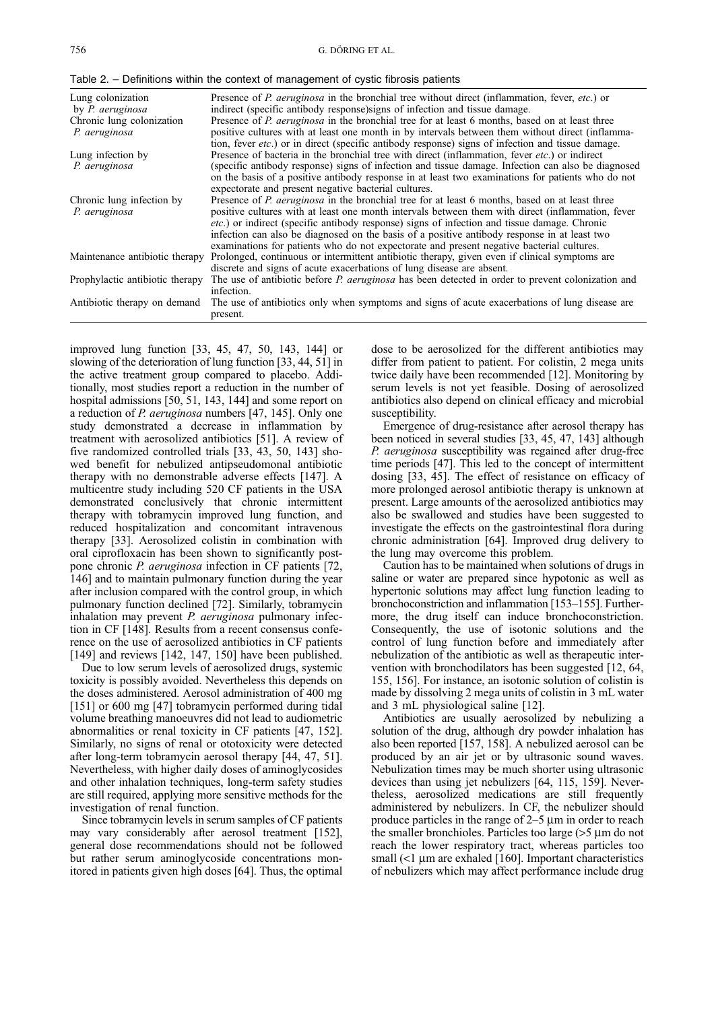Table 2. - Definitions within the context of management of cystic fibrosis patients

| Lung colonization<br>by <i>P. aeruginosa</i><br>Chronic lung colonization<br>P. aeruginosa | Presence of P. aeruginosa in the bronchial tree without direct (inflammation, fever, etc.) or<br>indirect (specific antibody response) signs of infection and tissue damage.<br>Presence of <i>P. aeruginosa</i> in the bronchial tree for at least 6 months, based on at least three<br>positive cultures with at least one month in by intervals between them without direct (inflamma-<br>tion, fever <i>etc.</i> ) or in direct (specific antibody response) signs of infection and tissue damage.   |
|--------------------------------------------------------------------------------------------|----------------------------------------------------------------------------------------------------------------------------------------------------------------------------------------------------------------------------------------------------------------------------------------------------------------------------------------------------------------------------------------------------------------------------------------------------------------------------------------------------------|
| Lung infection by<br>P. aeruginosa                                                         | Presence of bacteria in the bronchial tree with direct (inflammation, fever etc.) or indirect<br>(specific antibody response) signs of infection and tissue damage. Infection can also be diagnosed<br>on the basis of a positive antibody response in at least two examinations for patients who do not<br>expectorate and present negative bacterial cultures.                                                                                                                                         |
| Chronic lung infection by<br>P. aeruginosa                                                 | Presence of P. aeruginosa in the bronchial tree for at least 6 months, based on at least three<br>positive cultures with at least one month intervals between them with direct (inflammation, fever<br><i>etc.</i> ) or indirect (specific antibody response) signs of infection and tissue damage. Chronic<br>infection can also be diagnosed on the basis of a positive antibody response in at least two<br>examinations for patients who do not expectorate and present negative bacterial cultures. |
| Maintenance antibiotic therapy                                                             | Prolonged, continuous or intermittent antibiotic therapy, given even if clinical symptoms are<br>discrete and signs of acute exacerbations of lung disease are absent.                                                                                                                                                                                                                                                                                                                                   |
| Prophylactic antibiotic therapy                                                            | The use of antibiotic before <i>P. aeruginosa</i> has been detected in order to prevent colonization and<br>infection.                                                                                                                                                                                                                                                                                                                                                                                   |
| Antibiotic therapy on demand                                                               | The use of antibiotics only when symptoms and signs of acute exacerbations of lung disease are<br>present.                                                                                                                                                                                                                                                                                                                                                                                               |

improved lung function [33, 45, 47, 50, 143, 144] or slowing of the deterioration of lung function [33, 44, 51] in the active treatment group compared to placebo. Additionally, most studies report a reduction in the number of hospital admissions [50, 51, 143, 144] and some report on a reduction of P. aeruginosa numbers [47, 145]. Only one study demonstrated a decrease in inflammation by treatment with aerosolized antibiotics [51]. A review of five randomized controlled trials [33, 43, 50, 143] showed benefit for nebulized antipseudomonal antibiotic therapy with no demonstrable adverse effects [147]. A multicentre study including 520 CF patients in the USA demonstrated conclusively that chronic intermittent therapy with tobramycin improved lung function, and reduced hospitalization and concomitant intravenous therapy [33]. Aerosolized colistin in combination with oral ciprofloxacin has been shown to significantly postpone chronic P. aeruginosa infection in CF patients [72, 146] and to maintain pulmonary function during the year after inclusion compared with the control group, in which pulmonary function declined [72]. Similarly, tobramycin inhalation may prevent *P. aeruginosa* pulmonary infection in CF [148]. Results from a recent consensus conference on the use of aerosolized antibiotics in CF patients [149] and reviews [142, 147, 150] have been published.

Due to low serum levels of aerosolized drugs, systemic toxicity is possibly avoided. Nevertheless this depends on the doses administered. Aerosol administration of 400 mg [151] or 600 mg [47] tobramycin performed during tidal volume breathing manoeuvres did not lead to audiometric abnormalities or renal toxicity in CF patients [47, 152]. Similarly, no signs of renal or ototoxicity were detected after long-term tobramycin aerosol therapy [44, 47, 51]. Nevertheless, with higher daily doses of aminoglycosides and other inhalation techniques, long-term safety studies are still required, applying more sensitive methods for the investigation of renal function.

Since tobramycin levels in serum samples of CF patients may vary considerably after aerosol treatment [152], general dose recommendations should not be followed but rather serum aminoglycoside concentrations monitored in patients given high doses [64]. Thus, the optimal

dose to be aerosolized for the different antibiotics may differ from patient to patient. For colistin, 2 mega units twice daily have been recommended [12]. Monitoring by serum levels is not yet feasible. Dosing of aerosolized antibiotics also depend on clinical efficacy and microbial susceptibility.

Emergence of drug-resistance after aerosol therapy has been noticed in several studies [33, 45, 47, 143] although P. aeruginosa susceptibility was regained after drug-free time periods [47]. This led to the concept of intermittent dosing [33, 45]. The effect of resistance on efficacy of more prolonged aerosol antibiotic therapy is unknown at present. Large amounts of the aerosolized antibiotics may also be swallowed and studies have been suggested to investigate the effects on the gastrointestinal flora during chronic administration [64]. Improved drug delivery to the lung may overcome this problem.

Caution has to be maintained when solutions of drugs in saline or water are prepared since hypotonic as well as hypertonic solutions may affect lung function leading to bronchoconstriction and inflammation  $[153-155]$ . Furthermore, the drug itself can induce bronchoconstriction. Consequently, the use of isotonic solutions and the control of lung function before and immediately after nebulization of the antibiotic as well as therapeutic intervention with bronchodilators has been suggested [12, 64, 155, 156]. For instance, an isotonic solution of colistin is made by dissolving 2 mega units of colistin in 3 mL water and 3 mL physiological saline [12].

Antibiotics are usually aerosolized by nebulizing a solution of the drug, although dry powder inhalation has also been reported [157, 158]. A nebulized aerosol can be produced by an air jet or by ultrasonic sound waves. Nebulization times may be much shorter using ultrasonic devices than using jet nebulizers [64, 115, 159]. Nevertheless, aerosolized medications are still frequently administered by nebulizers. In CF, the nebulizer should produce particles in the range of  $2-5 \mu m$  in order to reach the smaller bronchioles. Particles too large  $($ >5  $\mu$ m do not reach the lower respiratory tract, whereas particles too small  $\left($  <1  $\mu$ m are exhaled [160]. Important characteristics of nebulizers which may affect performance include drug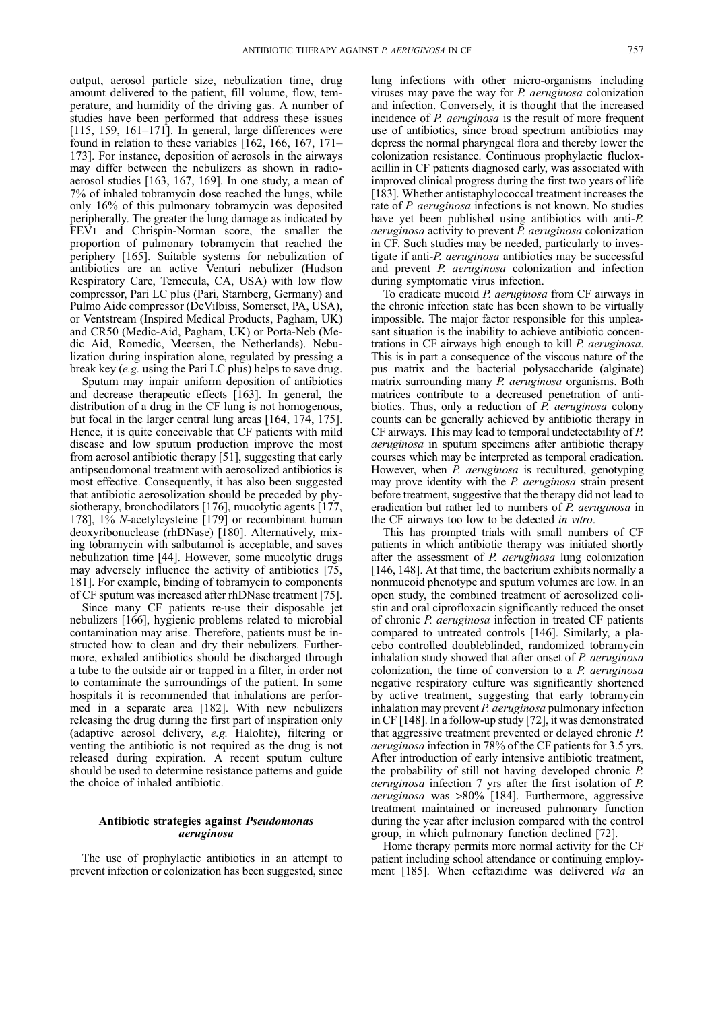output, aerosol particle size, nebulization time, drug amount delivered to the patient, fill volume, flow, temperature, and humidity of the driving gas. A number of studies have been performed that address these issues [115, 159,  $161-171$ ]. In general, large differences were found in relation to these variables  $[162, 166, 167, 171-$ 173]. For instance, deposition of aerosols in the airways may differ between the nebulizers as shown in radioaerosol studies [163, 167, 169]. In one study, a mean of 7% of inhaled tobramycin dose reached the lungs, while only 16% of this pulmonary tobramycin was deposited peripherally. The greater the lung damage as indicated by FEV1 and Chrispin-Norman score, the smaller the proportion of pulmonary tobramycin that reached the periphery [165]. Suitable systems for nebulization of antibiotics are an active Venturi nebulizer (Hudson Respiratory Care, Temecula, CA, USA) with low flow compressor, Pari LC plus (Pari, Starnberg, Germany) and Pulmo Aide compressor (DeVilbiss, Somerset, PA, USA), or Ventstream (Inspired Medical Products, Pagham, UK) and CR50 (Medic-Aid, Pagham, UK) or Porta-Neb (Medic Aid, Romedic, Meersen, the Netherlands). Nebulization during inspiration alone, regulated by pressing a break key (e.g. using the Pari LC plus) helps to save drug.

Sputum may impair uniform deposition of antibiotics and decrease therapeutic effects [163]. In general, the distribution of a drug in the CF lung is not homogenous, but focal in the larger central lung areas [164, 174, 175]. Hence, it is quite conceivable that CF patients with mild disease and low sputum production improve the most from aerosol antibiotic therapy [51], suggesting that early antipseudomonal treatment with aerosolized antibiotics is most effective. Consequently, it has also been suggested that antibiotic aerosolization should be preceded by physiotherapy, bronchodilators [176], mucolytic agents [177, 178], 1% N-acetylcysteine [179] or recombinant human deoxyribonuclease (rhDNase) [180]. Alternatively, mixing tobramycin with salbutamol is acceptable, and saves nebulization time [44]. However, some mucolytic drugs may adversely influence the activity of antibiotics [75, 181]. For example, binding of tobramycin to components of CF sputum was increased after rhDNase treatment [75].

Since many CF patients re-use their disposable jet nebulizers [166], hygienic problems related to microbial contamination may arise. Therefore, patients must be instructed how to clean and dry their nebulizers. Furthermore, exhaled antibiotics should be discharged through a tube to the outside air or trapped in a filter, in order not to contaminate the surroundings of the patient. In some hospitals it is recommended that inhalations are performed in a separate area [182]. With new nebulizers releasing the drug during the first part of inspiration only (adaptive aerosol delivery, e.g. Halolite), filtering or venting the antibiotic is not required as the drug is not released during expiration. A recent sputum culture should be used to determine resistance patterns and guide the choice of inhaled antibiotic.

### Antibiotic strategies against Pseudomonas aeruginosa

The use of prophylactic antibiotics in an attempt to prevent infection or colonization has been suggested, since

lung infections with other micro-organisms including viruses may pave the way for P. aeruginosa colonization and infection. Conversely, it is thought that the increased incidence of *P. aeruginosa* is the result of more frequent use of antibiotics, since broad spectrum antibiotics may depress the normal pharyngeal flora and thereby lower the colonization resistance. Continuous prophylactic flucloxacillin in CF patients diagnosed early, was associated with improved clinical progress during the first two years of life [183]. Whether antistaphylococcal treatment increases the rate of P. aeruginosa infections is not known. No studies have yet been published using antibiotics with anti-P. aeruginosa activity to prevent P. aeruginosa colonization in CF. Such studies may be needed, particularly to investigate if anti-P. aeruginosa antibiotics may be successful and prevent P. aeruginosa colonization and infection during symptomatic virus infection.

To eradicate mucoid P. aeruginosa from CF airways in the chronic infection state has been shown to be virtually impossible. The major factor responsible for this unpleasant situation is the inability to achieve antibiotic concentrations in CF airways high enough to kill P. aeruginosa. This is in part a consequence of the viscous nature of the pus matrix and the bacterial polysaccharide (alginate) matrix surrounding many P. aeruginosa organisms. Both matrices contribute to a decreased penetration of antibiotics. Thus, only a reduction of P. aeruginosa colony counts can be generally achieved by antibiotic therapy in CF airways. This may lead to temporal undetectability of P. aeruginosa in sputum specimens after antibiotic therapy courses which may be interpreted as temporal eradication. However, when P. aeruginosa is recultured, genotyping may prove identity with the *P. aeruginosa* strain present before treatment, suggestive that the therapy did not lead to eradication but rather led to numbers of P. aeruginosa in the CF airways too low to be detected in vitro.

This has prompted trials with small numbers of CF patients in which antibiotic therapy was initiated shortly after the assessment of P. aeruginosa lung colonization [146, 148]. At that time, the bacterium exhibits normally a nonmucoid phenotype and sputum volumes are low. In an open study, the combined treatment of aerosolized colistin and oral ciprofloxacin significantly reduced the onset of chronic P. aeruginosa infection in treated CF patients compared to untreated controls [146]. Similarly, a placebo controlled doubleblinded, randomized tobramycin inhalation study showed that after onset of *P. aeruginosa* colonization, the time of conversion to a P. aeruginosa negative respiratory culture was significantly shortened by active treatment, suggesting that early tobramycin inhalation may prevent *P. aeruginosa* pulmonary infection in CF [148]. In a follow-up study [72], it was demonstrated that aggressive treatment prevented or delayed chronic P. aeruginosa infection in 78% of the CF patients for 3.5 yrs. After introduction of early intensive antibiotic treatment, the probability of still not having developed chronic P. aeruginosa infection 7 yrs after the first isolation of P. aeruginosa was >80% [184]. Furthermore, aggressive treatment maintained or increased pulmonary function during the year after inclusion compared with the control group, in which pulmonary function declined [72].

Home therapy permits more normal activity for the CF patient including school attendance or continuing employment [185]. When ceftazidime was delivered via an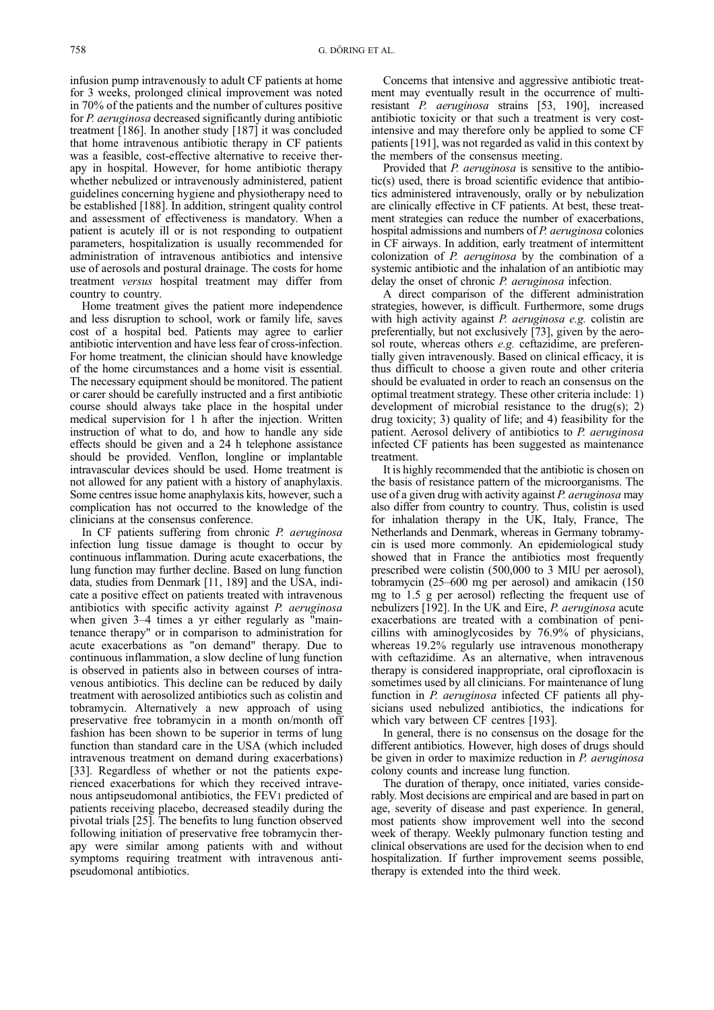infusion pump intravenously to adult CF patients at home for 3 weeks, prolonged clinical improvement was noted in 70% of the patients and the number of cultures positive for P. aeruginosa decreased significantly during antibiotic treatment [186]. In another study [187] it was concluded that home intravenous antibiotic therapy in CF patients was a feasible, cost-effective alternative to receive therapy in hospital. However, for home antibiotic therapy whether nebulized or intravenously administered, patient guidelines concerning hygiene and physiotherapy need to be established [188]. In addition, stringent quality control and assessment of effectiveness is mandatory. When a patient is acutely ill or is not responding to outpatient parameters, hospitalization is usually recommended for administration of intravenous antibiotics and intensive use of aerosols and postural drainage. The costs for home treatment versus hospital treatment may differ from country to country.

Home treatment gives the patient more independence and less disruption to school, work or family life, saves cost of a hospital bed. Patients may agree to earlier antibiotic intervention and have less fear of cross-infection. For home treatment, the clinician should have knowledge of the home circumstances and a home visit is essential. The necessary equipment should be monitored. The patient or carer should be carefully instructed and a first antibiotic course should always take place in the hospital under medical supervision for 1 h after the injection. Written instruction of what to do, and how to handle any side effects should be given and a 24 h telephone assistance should be provided. Venflon, longline or implantable intravascular devices should be used. Home treatment is not allowed for any patient with a history of anaphylaxis. Some centres issue home anaphylaxis kits, however, such a complication has not occurred to the knowledge of the clinicians at the consensus conference.

In CF patients suffering from chronic P. aeruginosa infection lung tissue damage is thought to occur by continuous inflammation. During acute exacerbations, the lung function may further decline. Based on lung function data, studies from Denmark [11, 189] and the USA, indicate a positive effect on patients treated with intravenous antibiotics with specific activity against P. aeruginosa when given 3-4 times a yr either regularly as "maintenance therapy" or in comparison to administration for acute exacerbations as "on demand" therapy. Due to continuous inflammation, a slow decline of lung function is observed in patients also in between courses of intravenous antibiotics. This decline can be reduced by daily treatment with aerosolized antibiotics such as colistin and tobramycin. Alternatively a new approach of using preservative free tobramycin in a month on/month off fashion has been shown to be superior in terms of lung function than standard care in the USA (which included intravenous treatment on demand during exacerbations) [33]. Regardless of whether or not the patients experienced exacerbations for which they received intravenous antipseudomonal antibiotics, the FEV1 predicted of patients receiving placebo, decreased steadily during the pivotal trials [25]. The benefits to lung function observed following initiation of preservative free tobramycin therapy were similar among patients with and without symptoms requiring treatment with intravenous antipseudomonal antibiotics.

Concerns that intensive and aggressive antibiotic treatment may eventually result in the occurrence of multiresistant P. aeruginosa strains [53, 190], increased antibiotic toxicity or that such a treatment is very costintensive and may therefore only be applied to some CF patients [191], was not regarded as valid in this context by the members of the consensus meeting.

Provided that *P. aeruginosa* is sensitive to the antibiotic(s) used, there is broad scientific evidence that antibiotics administered intravenously, orally or by nebulization are clinically effective in CF patients. At best, these treatment strategies can reduce the number of exacerbations, hospital admissions and numbers of P. *aeruginosa* colonies in CF airways. In addition, early treatment of intermittent colonization of P. aeruginosa by the combination of a systemic antibiotic and the inhalation of an antibiotic may delay the onset of chronic P. aeruginosa infection.

A direct comparison of the different administration strategies, however, is difficult. Furthermore, some drugs with high activity against P. aeruginosa e.g. colistin are preferentially, but not exclusively [73], given by the aerosol route, whereas others e.g. ceftazidime, are preferentially given intravenously. Based on clinical efficacy, it is thus difficult to choose a given route and other criteria should be evaluated in order to reach an consensus on the optimal treatment strategy. These other criteria include: 1) development of microbial resistance to the drug(s); 2) drug toxicity; 3) quality of life; and 4) feasibility for the patient. Aerosol delivery of antibiotics to P. aeruginosa infected CF patients has been suggested as maintenance treatment.

It is highly recommended that the antibiotic is chosen on the basis of resistance pattern of the microorganisms. The use of a given drug with activity against P. aeruginosa may also differ from country to country. Thus, colistin is used for inhalation therapy in the UK, Italy, France, The Netherlands and Denmark, whereas in Germany tobramycin is used more commonly. An epidemiological study showed that in France the antibiotics most frequently prescribed were colistin (500,000 to 3 MIU per aerosol), tobramycin  $(25-600 \text{ mg per aerosol})$  and amikacin  $(150 \text{ m})$ mg to 1.5 g per aerosol) reflecting the frequent use of nebulizers [192]. In the UK and Eire, *P. aeruginosa* acute exacerbations are treated with a combination of penicillins with aminoglycosides by 76.9% of physicians, whereas 19.2% regularly use intravenous monotherapy with ceftazidime. As an alternative, when intravenous therapy is considered inappropriate, oral ciprofloxacin is sometimes used by all clinicians. For maintenance of lung function in *P. aeruginosa* infected CF patients all physicians used nebulized antibiotics, the indications for which vary between CF centres [193].

In general, there is no consensus on the dosage for the different antibiotics. However, high doses of drugs should be given in order to maximize reduction in P. aeruginosa colony counts and increase lung function.

The duration of therapy, once initiated, varies considerably. Most decisions are empirical and are based in part on age, severity of disease and past experience. In general, most patients show improvement well into the second week of therapy. Weekly pulmonary function testing and clinical observations are used for the decision when to end hospitalization. If further improvement seems possible, therapy is extended into the third week.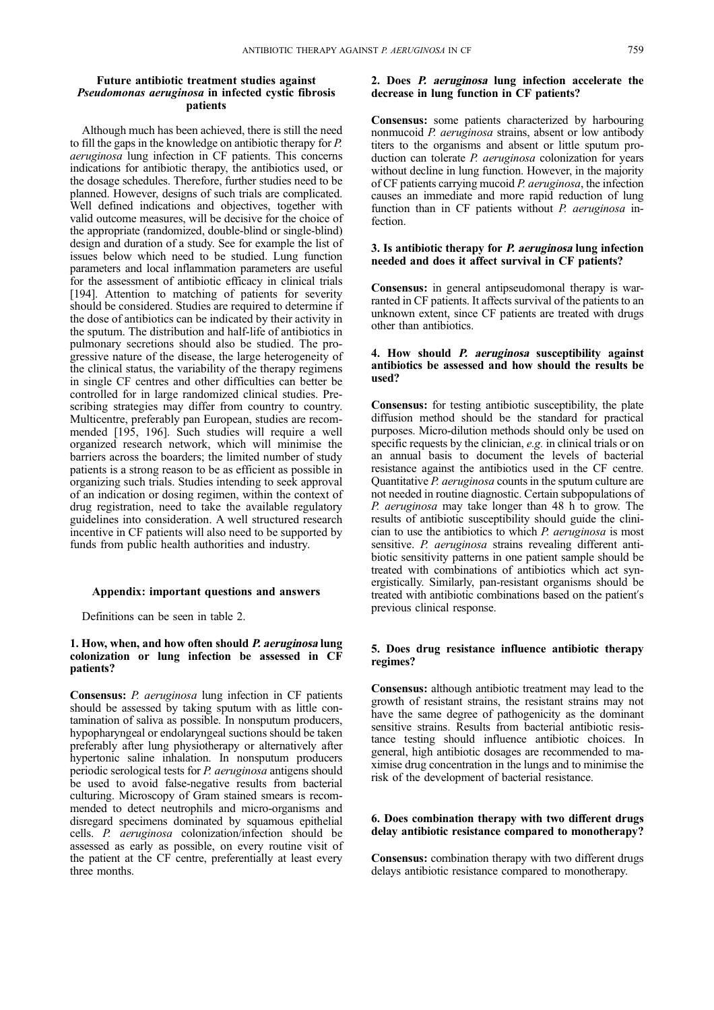# Future antibiotic treatment studies against Pseudomonas aeruginosa in infected cystic fibrosis

Although much has been achieved, there is still the need to fill the gaps in the knowledge on antibiotic therapy for P. aeruginosa lung infection in CF patients. This concerns indications for antibiotic therapy, the antibiotics used, or the dosage schedules. Therefore, further studies need to be planned. However, designs of such trials are complicated. Well defined indications and objectives, together with valid outcome measures, will be decisive for the choice of the appropriate (randomized, double-blind or single-blind) design and duration of a study. See for example the list of issues below which need to be studied. Lung function parameters and local inflammation parameters are useful for the assessment of antibiotic efficacy in clinical trials [194]. Attention to matching of patients for severity should be considered. Studies are required to determine if the dose of antibiotics can be indicated by their activity in the sputum. The distribution and half-life of antibiotics in pulmonary secretions should also be studied. The progressive nature of the disease, the large heterogeneity of the clinical status, the variability of the therapy regimens in single CF centres and other difficulties can better be controlled for in large randomized clinical studies. Prescribing strategies may differ from country to country. Multicentre, preferably pan European, studies are recommended [195, 196]. Such studies will require a well organized research network, which will minimise the barriers across the boarders; the limited number of study patients is a strong reason to be as efficient as possible in organizing such trials. Studies intending to seek approval of an indication or dosing regimen, within the context of drug registration, need to take the available regulatory guidelines into consideration. A well structured research incentive in CF patients will also need to be supported by funds from public health authorities and industry.

patients

#### Appendix: important questions and answers

Definitions can be seen in table 2.

#### 1. How, when, and how often should P. aeruginosa lung colonization or lung infection be assessed in CF patients?

Consensus: P. aeruginosa lung infection in CF patients should be assessed by taking sputum with as little contamination of saliva as possible. In nonsputum producers, hypopharyngeal or endolaryngeal suctions should be taken preferably after lung physiotherapy or alternatively after hypertonic saline inhalation. In nonsputum producers periodic serological tests for P. aeruginosa antigens should be used to avoid false-negative results from bacterial culturing. Microscopy of Gram stained smears is recommended to detect neutrophils and micro-organisms and disregard specimens dominated by squamous epithelial cells. P. aeruginosa colonization/infection should be assessed as early as possible, on every routine visit of the patient at the CF centre, preferentially at least every three months.

#### 2. Does P. aeruginosa lung infection accelerate the decrease in lung function in CF patients?

Consensus: some patients characterized by harbouring nonmucoid *P. aeruginosa* strains, absent or low antibody titers to the organisms and absent or little sputum production can tolerate *P. aeruginosa* colonization for years without decline in lung function. However, in the majority of CF patients carrying mucoid P. aeruginosa, the infection causes an immediate and more rapid reduction of lung function than in CF patients without P. aeruginosa infection.

#### 3. Is antibiotic therapy for P. aeruginosa lung infection needed and does it affect survival in CF patients?

Consensus: in general antipseudomonal therapy is warranted in CF patients. It affects survival of the patients to an unknown extent, since CF patients are treated with drugs other than antibiotics.

#### 4. How should P. aeruginosa susceptibility against antibiotics be assessed and how should the results be used?

Consensus: for testing antibiotic susceptibility, the plate diffusion method should be the standard for practical purposes. Micro-dilution methods should only be used on specific requests by the clinician, e.g. in clinical trials or on an annual basis to document the levels of bacterial resistance against the antibiotics used in the CF centre. Quantitative  $P$ . *aeruginosa* counts in the sputum culture are not needed in routine diagnostic. Certain subpopulations of P. aeruginosa may take longer than 48 h to grow. The results of antibiotic susceptibility should guide the clinician to use the antibiotics to which P. aeruginosa is most sensitive. P. aeruginosa strains revealing different antibiotic sensitivity patterns in one patient sample should be treated with combinations of antibiotics which act synergistically. Similarly, pan-resistant organisms should be treated with antibiotic combinations based on the patient's previous clinical response.

#### 5. Does drug resistance influence antibiotic therapy regimes?

Consensus: although antibiotic treatment may lead to the growth of resistant strains, the resistant strains may not have the same degree of pathogenicity as the dominant sensitive strains. Results from bacterial antibiotic resistance testing should influence antibiotic choices. In general, high antibiotic dosages are recommended to maximise drug concentration in the lungs and to minimise the risk of the development of bacterial resistance.

#### 6. Does combination therapy with two different drugs delay antibiotic resistance compared to monotherapy?

Consensus: combination therapy with two different drugs delays antibiotic resistance compared to monotherapy.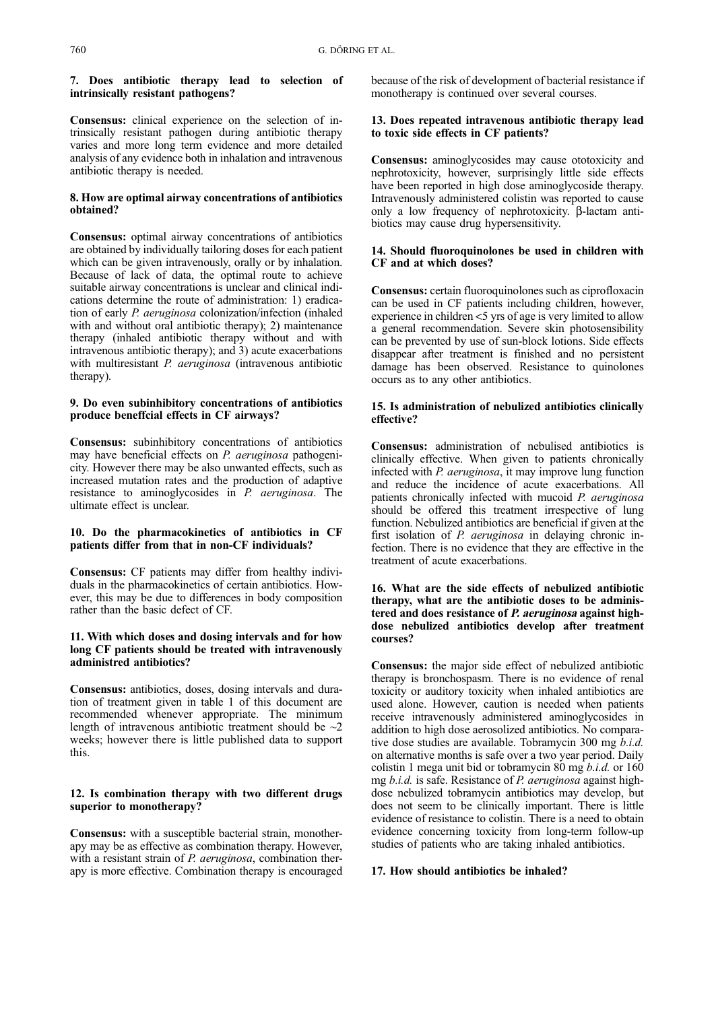#### 7. Does antibiotic therapy lead to selection of intrinsically resistant pathogens?

Consensus: clinical experience on the selection of intrinsically resistant pathogen during antibiotic therapy varies and more long term evidence and more detailed analysis of any evidence both in inhalation and intravenous antibiotic therapy is needed.

#### 8. How are optimal airway concentrations of antibiotics obtained?

Consensus: optimal airway concentrations of antibiotics are obtained by individually tailoring doses for each patient which can be given intravenously, orally or by inhalation. Because of lack of data, the optimal route to achieve suitable airway concentrations is unclear and clinical indications determine the route of administration: 1) eradication of early P. aeruginosa colonization/infection (inhaled with and without oral antibiotic therapy); 2) maintenance therapy (inhaled antibiotic therapy without and with intravenous antibiotic therapy); and 3) acute exacerbations with multiresistant *P. aeruginosa* (intravenous antibiotic therapy).

#### 9. Do even subinhibitory concentrations of antibiotics produce beneffcial effects in CF airways?

Consensus: subinhibitory concentrations of antibiotics may have beneficial effects on P. aeruginosa pathogenicity. However there may be also unwanted effects, such as increased mutation rates and the production of adaptive resistance to aminoglycosides in P. aeruginosa. The ultimate effect is unclear.

#### 10. Do the pharmacokinetics of antibiotics in CF patients differ from that in non-CF individuals?

Consensus: CF patients may differ from healthy individuals in the pharmacokinetics of certain antibiotics. However, this may be due to differences in body composition rather than the basic defect of CF.

### 11. With which doses and dosing intervals and for how long CF patients should be treated with intravenously administred antibiotics?

Consensus: antibiotics, doses, dosing intervals and duration of treatment given in table 1 of this document are recommended whenever appropriate. The minimum length of intravenous antibiotic treatment should be  $\sim$ 2 weeks; however there is little published data to support this.

#### 12. Is combination therapy with two different drugs superior to monotherapy?

Consensus: with a susceptible bacterial strain, monotherapy may be as effective as combination therapy. However, with a resistant strain of *P. aeruginosa*, combination therapy is more effective. Combination therapy is encouraged because of the risk of development of bacterial resistance if monotherapy is continued over several courses.

#### 13. Does repeated intravenous antibiotic therapy lead to toxic side effects in CF patients?

Consensus: aminoglycosides may cause ototoxicity and nephrotoxicity, however, surprisingly little side effects have been reported in high dose aminoglycoside therapy. Intravenously administered colistin was reported to cause only a low frequency of nephrotoxicity.  $\beta$ -lactam antibiotics may cause drug hypersensitivity.

#### 14. Should fluoroquinolones be used in children with CF and at which doses?

Consensus: certain fluoroquinolones such as ciprofloxacin can be used in CF patients including children, however, experience in children <5 yrs of age is very limited to allow a general recommendation. Severe skin photosensibility can be prevented by use of sun-block lotions. Side effects disappear after treatment is finished and no persistent damage has been observed. Resistance to quinolones occurs as to any other antibiotics.

#### 15. Is administration of nebulized antibiotics clinically effective?

Consensus: administration of nebulised antibiotics is clinically effective. When given to patients chronically infected with P. aeruginosa, it may improve lung function and reduce the incidence of acute exacerbations. All patients chronically infected with mucoid P. aeruginosa should be offered this treatment irrespective of lung function. Nebulized antibiotics are beneficial if given at the first isolation of *P. aeruginosa* in delaying chronic infection. There is no evidence that they are effective in the treatment of acute exacerbations.

#### 16. What are the side effects of nebulized antibiotic therapy, what are the antibiotic doses to be administered and does resistance of P. aeruginosa against highdose nebulized antibiotics develop after treatment courses?

Consensus: the major side effect of nebulized antibiotic therapy is bronchospasm. There is no evidence of renal toxicity or auditory toxicity when inhaled antibiotics are used alone. However, caution is needed when patients receive intravenously administered aminoglycosides in addition to high dose aerosolized antibiotics. No comparative dose studies are available. Tobramycin 300 mg b.i.d. on alternative months is safe over a two year period. Daily colistin 1 mega unit bid or tobramycin 80 mg  $b.i.d.$  or 160 mg b.i.d. is safe. Resistance of P. aeruginosa against highdose nebulized tobramycin antibiotics may develop, but does not seem to be clinically important. There is little evidence of resistance to colistin. There is a need to obtain evidence concerning toxicity from long-term follow-up studies of patients who are taking inhaled antibiotics.

#### 17. How should antibiotics be inhaled?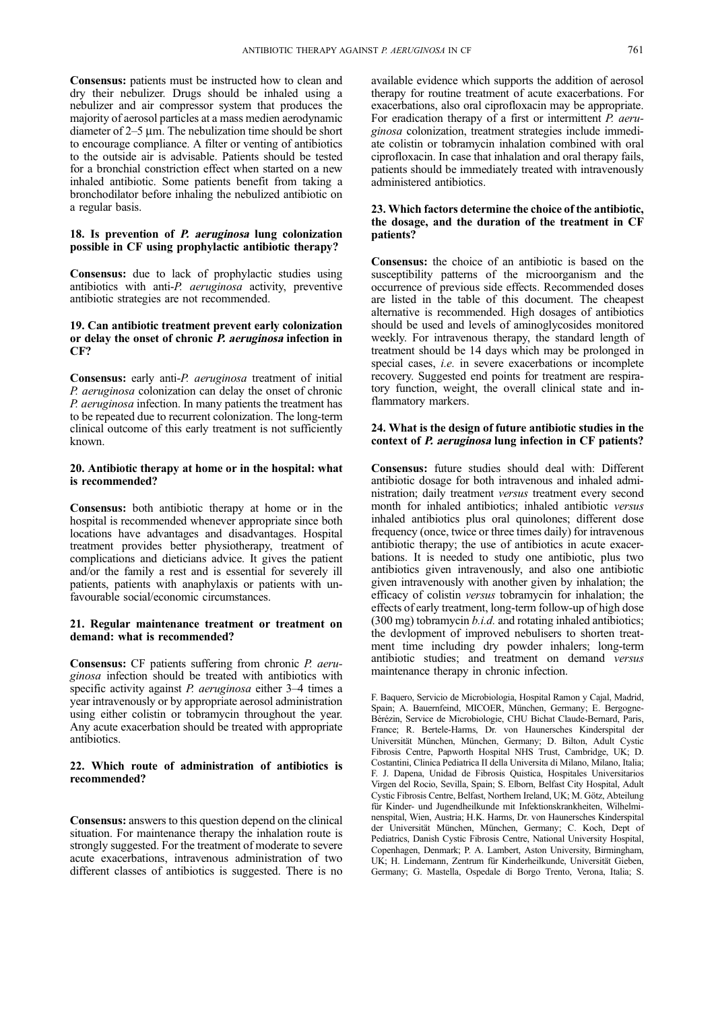Consensus: patients must be instructed how to clean and dry their nebulizer. Drugs should be inhaled using a nebulizer and air compressor system that produces the majority of aerosol particles at a mass medien aerodynamic diameter of  $2-5 \mu m$ . The nebulization time should be short to encourage compliance. A filter or venting of antibiotics to the outside air is advisable. Patients should be tested for a bronchial constriction effect when started on a new inhaled antibiotic. Some patients benefit from taking a bronchodilator before inhaling the nebulized antibiotic on a regular basis.

#### 18. Is prevention of P. aeruginosa lung colonization possible in CF using prophylactic antibiotic therapy?

Consensus: due to lack of prophylactic studies using antibiotics with anti-P. aeruginosa activity, preventive antibiotic strategies are not recommended.

#### 19. Can antibiotic treatment prevent early colonization or delay the onset of chronic P. aeruginosa infection in CF?

Consensus: early anti-P. aeruginosa treatment of initial P. aeruginosa colonization can delay the onset of chronic P. aeruginosa infection. In many patients the treatment has to be repeated due to recurrent colonization. The long-term clinical outcome of this early treatment is not sufficiently known.

#### 20. Antibiotic therapy at home or in the hospital: what is recommended?

Consensus: both antibiotic therapy at home or in the hospital is recommended whenever appropriate since both locations have advantages and disadvantages. Hospital treatment provides better physiotherapy, treatment of complications and dieticians advice. It gives the patient and/or the family a rest and is essential for severely ill patients, patients with anaphylaxis or patients with unfavourable social/economic circumstances.

#### 21. Regular maintenance treatment or treatment on demand: what is recommended?

Consensus: CF patients suffering from chronic P. aeruginosa infection should be treated with antibiotics with specific activity against  $P$ . *aeruginosa* either  $3-4$  times a year intravenously or by appropriate aerosol administration using either colistin or tobramycin throughout the year. Any acute exacerbation should be treated with appropriate antibiotics.

### 22. Which route of administration of antibiotics is recommended?

Consensus: answers to this question depend on the clinical situation. For maintenance therapy the inhalation route is strongly suggested. For the treatment of moderate to severe acute exacerbations, intravenous administration of two different classes of antibiotics is suggested. There is no available evidence which supports the addition of aerosol therapy for routine treatment of acute exacerbations. For exacerbations, also oral ciprofloxacin may be appropriate. For eradication therapy of a first or intermittent P. aeruginosa colonization, treatment strategies include immediate colistin or tobramycin inhalation combined with oral ciprofloxacin. In case that inhalation and oral therapy fails, patients should be immediately treated with intravenously administered antibiotics.

#### 23. Which factors determine the choice of the antibiotic, the dosage, and the duration of the treatment in CF patients?

Consensus: the choice of an antibiotic is based on the susceptibility patterns of the microorganism and the occurrence of previous side effects. Recommended doses are listed in the table of this document. The cheapest alternative is recommended. High dosages of antibiotics should be used and levels of aminoglycosides monitored weekly. For intravenous therapy, the standard length of treatment should be 14 days which may be prolonged in special cases, *i.e.* in severe exacerbations or incomplete recovery. Suggested end points for treatment are respiratory function, weight, the overall clinical state and inflammatory markers.

### 24. What is the design of future antibiotic studies in the context of P. aeruginosa lung infection in CF patients?

Consensus: future studies should deal with: Different antibiotic dosage for both intravenous and inhaled administration; daily treatment versus treatment every second month for inhaled antibiotics; inhaled antibiotic versus inhaled antibiotics plus oral quinolones; different dose frequency (once, twice or three times daily) for intravenous antibiotic therapy; the use of antibiotics in acute exacerbations. It is needed to study one antibiotic, plus two antibiotics given intravenously, and also one antibiotic given intravenously with another given by inhalation; the efficacy of colistin versus tobramycin for inhalation; the effects of early treatment, long-term follow-up of high dose  $(300 \text{ mg})$  tobramycin  $b.i.d.$  and rotating inhaled antibiotics; the devlopment of improved nebulisers to shorten treatment time including dry powder inhalers; long-term antibiotic studies; and treatment on demand versus maintenance therapy in chronic infection.

F. Baquero, Servicio de Microbiologia, Hospital Ramon y Cajal, Madrid, Spain; A. Bauernfeind, MICOER, München, Germany; E. Bergogne-Bérézin, Service de Microbiologie, CHU Bichat Claude-Bernard, Paris, France; R. Bertele-Harms, Dr. von Haunersches Kinderspital der Universität München, München, Germany; D. Bilton, Adult Cystic Fibrosis Centre, Papworth Hospital NHS Trust, Cambridge, UK; D. Costantini, Clinica Pediatrica II della Universita di Milano, Milano, Italia; F. J. Dapena, Unidad de Fibrosis Quistica, Hospitales Universitarios Virgen del Rocio, Sevilla, Spain; S. Elborn, Belfast City Hospital, Adult Cystic Fibrosis Centre, Belfast, Northern Ireland, UK; M. Götz, Abteilung für Kinder- und Jugendheilkunde mit Infektionskrankheiten, Wilhelminenspital, Wien, Austria; H.K. Harms, Dr. von Haunersches Kinderspital der Universität München, München, Germany; C. Koch, Dept of Pediatrics, Danish Cystic Fibrosis Centre, National University Hospital, Copenhagen, Denmark; P. A. Lambert, Aston University, Birmingham, UK; H. Lindemann, Zentrum für Kinderheilkunde, Universität Gieben, Germany; G. Mastella, Ospedale di Borgo Trento, Verona, Italia; S.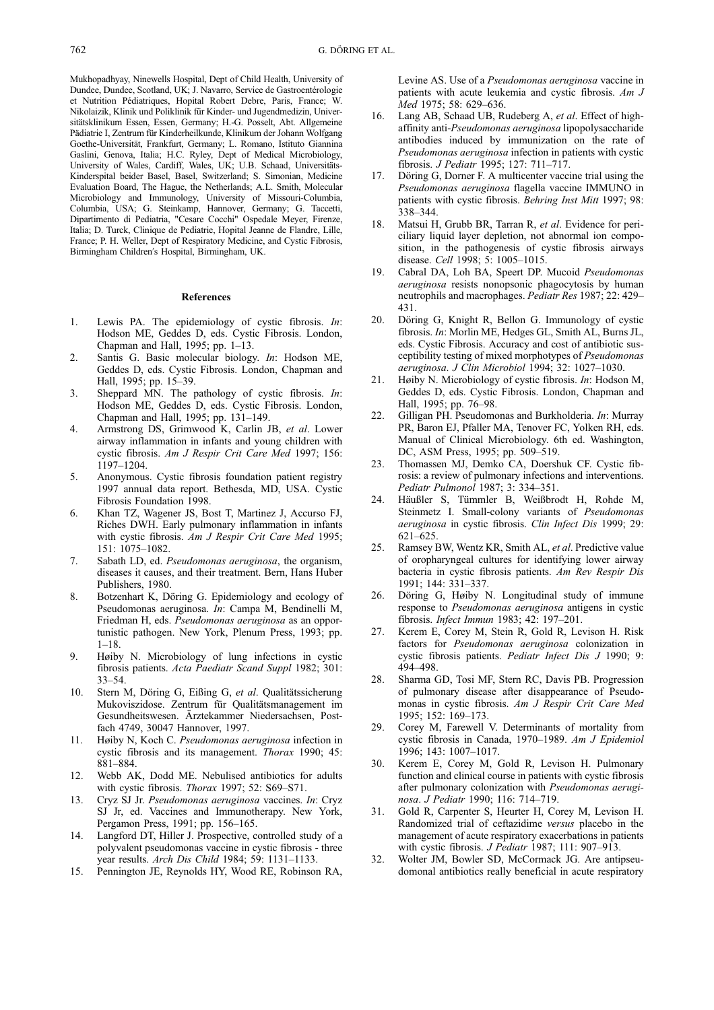Mukhopadhyay, Ninewells Hospital, Dept of Child Health, University of Dundee, Dundee, Scotland, UK; J. Navarro, Service de Gastroentérologie et Nutrition Pédiatriques, Hopital Robert Debre, Paris, France; W. Nikolaizik, Klinik und Poliklinik für Kinder- und Jugendmedizin, Universitätsklinikum Essen, Essen, Germany; H.-G. Posselt, Abt. Allgemeine Pädiatrie I, Zentrum für Kinderheilkunde, Klinikum der Johann Wolfgang Goethe-Universität, Frankfurt, Germany; L. Romano, Istituto Giannina Gaslini, Genova, Italia; H.C. Ryley, Dept of Medical Microbiology, University of Wales, Cardiff, Wales, UK; U.B. Schaad, Universitäts-Kinderspital beider Basel, Basel, Switzerland; S. Simonian, Medicine Evaluation Board, The Hague, the Netherlands; A.L. Smith, Molecular Microbiology and Immunology, University of Missouri-Columbia, Columbia, USA; G. Steinkamp, Hannover, Germany; G. Taccetti, Dipartimento di Pediatria, "Cesare Cocchi" Ospedale Meyer, Firenze, Italia; D. Turck, Clinique de Pediatrie, Hopital Jeanne de Flandre, Lille, France; P. H. Weller, Dept of Respiratory Medicine, and Cystic Fibrosis, Birmingham Children's Hospital, Birmingham, UK.

#### References

- 1. Lewis PA. The epidemiology of cystic fibrosis. In: Hodson ME, Geddes D, eds. Cystic Fibrosis. London, Chapman and Hall, 1995; pp.  $1-13$ .
- 2. Santis G. Basic molecular biology. In: Hodson ME, Geddes D, eds. Cystic Fibrosis. London, Chapman and Hall, 1995; pp. 15-39.
- 3. Sheppard MN. The pathology of cystic fibrosis. In: Hodson ME, Geddes D, eds. Cystic Fibrosis. London, Chapman and Hall, 1995; pp. 131-149.
- 4. Armstrong DS, Grimwood K, Carlin JB, et al. Lower airway inflammation in infants and young children with cystic fibrosis. Am J Respir Crit Care Med 1997; 156: 1197±1204.
- 5. Anonymous. Cystic fibrosis foundation patient registry 1997 annual data report. Bethesda, MD, USA. Cystic Fibrosis Foundation 1998.
- 6. Khan TZ, Wagener JS, Bost T, Martinez J, Accurso FJ, Riches DWH. Early pulmonary inflammation in infants with cystic fibrosis. Am J Respir Crit Care Med 1995; 151: 1075±1082.
- 7. Sabath LD, ed. Pseudomonas aeruginosa, the organism, diseases it causes, and their treatment. Bern, Hans Huber Publishers, 1980.
- 8. Botzenhart K, Döring G. Epidemiology and ecology of Pseudomonas aeruginosa. In: Campa M, Bendinelli M, Friedman H, eds. Pseudomonas aeruginosa as an opportunistic pathogen. New York, Plenum Press, 1993; pp.  $1-18$
- 9. Høiby N. Microbiology of lung infections in cystic fibrosis patients. Acta Paediatr Scand Suppl 1982; 301: 33±54.
- 10. Stern M, Döring G, Eißing G, et al. Qualitätssicherung Mukoviszidose. Zentrum für Qualitätsmanagement im Gesundheitswesen. Ärztekammer Niedersachsen, Postfach 4749, 30047 Hannover, 1997.
- 11. Høiby N, Koch C. Pseudomonas aeruginosa infection in cystic fibrosis and its management. Thorax 1990; 45: 881±884.
- 12. Webb AK, Dodd ME. Nebulised antibiotics for adults with cystic fibrosis. Thorax 1997; 52: S69-S71.
- 13. Cryz SJ Jr. Pseudomonas aeruginosa vaccines. In: Cryz SJ Jr, ed. Vaccines and Immunotherapy. New York, Pergamon Press, 1991; pp. 156-165.
- 14. Langford DT, Hiller J. Prospective, controlled study of a polyvalent pseudomonas vaccine in cystic fibrosis - three year results. Arch Dis Child 1984; 59: 1131-1133.
- 15. Pennington JE, Reynolds HY, Wood RE, Robinson RA,

Levine AS. Use of a Pseudomonas aeruginosa vaccine in patients with acute leukemia and cystic fibrosis. Am J Med 1975; 58: 629-636.

- 16. Lang AB, Schaad UB, Rudeberg A, et al. Effect of highaffinity anti-Pseudomonas aeruginosa lipopolysaccharide antibodies induced by immunization on the rate of Pseudomonas aeruginosa infection in patients with cystic fibrosis. J Pediatr 1995; 127: 711-717.
- 17. Döring G, Dorner F. A multicenter vaccine trial using the Pseudomonas aeruginosa flagella vaccine IMMUNO in patients with cystic fibrosis. Behring Inst Mitt 1997; 98: 338±344.
- 18. Matsui H, Grubb BR, Tarran R, et al. Evidence for periciliary liquid layer depletion, not abnormal ion composition, in the pathogenesis of cystic fibrosis airways disease. Cell 1998; 5: 1005-1015.
- 19. Cabral DA, Loh BA, Speert DP. Mucoid Pseudomonas aeruginosa resists nonopsonic phagocytosis by human neutrophils and macrophages. Pediatr Res 1987; 22: 429-431.
- 20. Döring G, Knight R, Bellon G. Immunology of cystic fibrosis. In: Morlin ME, Hedges GL, Smith AL, Burns JL, eds. Cystic Fibrosis. Accuracy and cost of antibiotic susceptibility testing of mixed morphotypes of Pseudomonas aeruginosa. J Clin Microbiol 1994; 32: 1027-1030.
- 21. Høiby N. Microbiology of cystic fibrosis. In: Hodson M, Geddes D, eds. Cystic Fibrosis. London, Chapman and Hall, 1995; pp. 76-98.
- 22. Gilligan PH. Pseudomonas and Burkholderia. In: Murray PR, Baron EJ, Pfaller MA, Tenover FC, Yolken RH, eds. Manual of Clinical Microbiology. 6th ed. Washington, DC, ASM Press, 1995; pp. 509-519.
- 23. Thomassen MJ, Demko CA, Doershuk CF. Cystic fibrosis: a review of pulmonary infections and interventions. Pediatr Pulmonol 1987; 3: 334-351.
- 24. Häußler S, Tümmler B, Weißbrodt H, Rohde M, Steinmetz I. Small-colony variants of Pseudomonas aeruginosa in cystic fibrosis. Clin Infect Dis 1999; 29:  $621 - 625$ .
- 25. Ramsey BW, Wentz KR, Smith AL, et al. Predictive value of oropharyngeal cultures for identifying lower airway bacteria in cystic fibrosis patients. Am Rev Respir Dis 1991; 144: 331-337.
- 26. Döring G, Høiby N. Longitudinal study of immune response to Pseudomonas aeruginosa antigens in cystic fibrosis. Infect Immun 1983; 42: 197-201.
- 27. Kerem E, Corey M, Stein R, Gold R, Levison H. Risk factors for Pseudomonas aeruginosa colonization in cystic fibrosis patients. Pediatr Infect Dis J 1990; 9: 494±498.
- 28. Sharma GD, Tosi MF, Stern RC, Davis PB. Progression of pulmonary disease after disappearance of Pseudomonas in cystic fibrosis. Am J Respir Crit Care Med 1995; 152: 169-173.
- 29. Corey M, Farewell V. Determinants of mortality from cystic fibrosis in Canada, 1970-1989. Am J Epidemiol 1996; 143: 1007-1017.
- 30. Kerem E, Corey M, Gold R, Levison H. Pulmonary function and clinical course in patients with cystic fibrosis after pulmonary colonization with Pseudomonas aeruginosa. J Pediatr 1990; 116: 714-719.
- 31. Gold R, Carpenter S, Heurter H, Corey M, Levison H. Randomized trial of ceftazidime versus placebo in the management of acute respiratory exacerbations in patients with cystic fibrosis. *J Pediatr* 1987; 111: 907-913.
- 32. Wolter JM, Bowler SD, McCormack JG. Are antipseudomonal antibiotics really beneficial in acute respiratory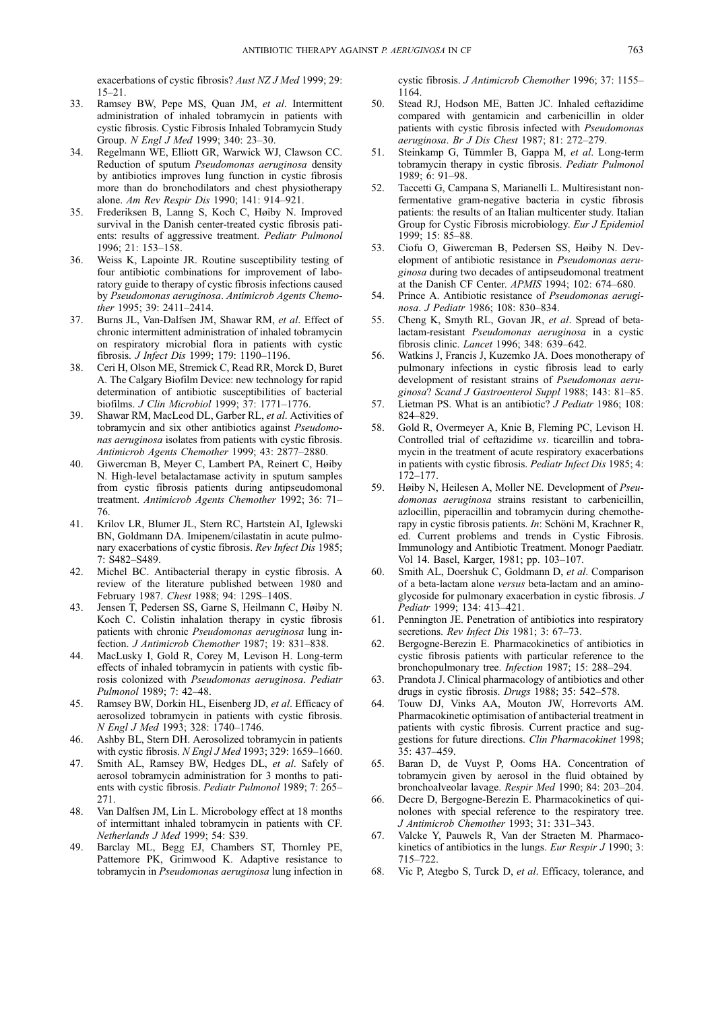exacerbations of cystic fibrosis? Aust NZ J Med 1999; 29:  $15 - 21$ .

- 33. Ramsey BW, Pepe MS, Quan JM, et al. Intermittent administration of inhaled tobramycin in patients with cystic fibrosis. Cystic Fibrosis Inhaled Tobramycin Study Group. N Engl J Med 1999; 340: 23-30.
- 34. Regelmann WE, Elliott GR, Warwick WJ, Clawson CC. Reduction of sputum Pseudomonas aeruginosa density by antibiotics improves lung function in cystic fibrosis more than do bronchodilators and chest physiotherapy alone. Am Rev Respir Dis 1990; 141: 914-921.
- 35. Frederiksen B, Lanng S, Koch C, Høiby N. Improved survival in the Danish center-treated cystic fibrosis patients: results of aggressive treatment. Pediatr Pulmonol 1996; 21: 153-158.
- 36. Weiss K, Lapointe JR. Routine susceptibility testing of four antibiotic combinations for improvement of laboratory guide to therapy of cystic fibrosis infections caused by Pseudomonas aeruginosa. Antimicrob Agents Chemother 1995; 39: 2411-2414.
- 37. Burns JL, Van-Dalfsen JM, Shawar RM, et al. Effect of chronic intermittent administration of inhaled tobramycin on respiratory microbial flora in patients with cystic fibrosis. J Infect Dis 1999; 179: 1190-1196.
- 38. Ceri H, Olson ME, Stremick C, Read RR, Morck D, Buret A. The Calgary Biofilm Device: new technology for rapid determination of antibiotic susceptibilities of bacterial biofilms. J Clin Microbiol 1999; 37: 1771-1776.
- 39. Shawar RM, MacLeod DL, Garber RL, et al. Activities of tobramycin and six other antibiotics against Pseudomonas aeruginosa isolates from patients with cystic fibrosis. Antimicrob Agents Chemother 1999; 43: 2877-2880.
- 40. Giwercman B, Meyer C, Lambert PA, Reinert C, Høiby N. High-level betalactamase activity in sputum samples from cystic fibrosis patients during antipseudomonal treatment. Antimicrob Agents Chemother 1992; 36: 71– 76.
- 41. Krilov LR, Blumer JL, Stern RC, Hartstein AI, Iglewski BN, Goldmann DA. Imipenem/cilastatin in acute pulmonary exacerbations of cystic fibrosis. Rev Infect Dis 1985; 7: S482-S489.
- 42. Michel BC. Antibacterial therapy in cystic fibrosis. A review of the literature published between 1980 and February 1987. Chest 1988; 94: 129S-140S.
- 43. Jensen T, Pedersen SS, Garne S, Heilmann C, Høiby N. Koch C. Colistin inhalation therapy in cystic fibrosis patients with chronic Pseudomonas aeruginosa lung infection. J Antimicrob Chemother 1987; 19: 831-838.
- 44. MacLusky I, Gold R, Corey M, Levison H. Long-term effects of inhaled tobramycin in patients with cystic fibrosis colonized with Pseudomonas aeruginosa. Pediatr Pulmonol 1989; 7: 42-48.
- 45. Ramsey BW, Dorkin HL, Eisenberg JD, et al. Efficacy of aerosolized tobramycin in patients with cystic fibrosis. N Engl J Med 1993; 328: 1740-1746.
- 46. Ashby BL, Stern DH. Aerosolized tobramycin in patients with cystic fibrosis.  $N$  Engl J Med 1993; 329: 1659-1660.
- 47. Smith AL, Ramsey BW, Hedges DL, et al. Safely of aerosol tobramycin administration for 3 months to patients with cystic fibrosis. Pediatr Pulmonol 1989; 7: 265-271.
- 48. Van Dalfsen JM, Lin L. Microbology effect at 18 months of intermittant inhaled tobramycin in patients with CF. Netherlands J Med 1999; 54: S39.
- 49. Barclay ML, Begg EJ, Chambers ST, Thornley PE, Pattemore PK, Grimwood K. Adaptive resistance to tobramycin in Pseudomonas aeruginosa lung infection in

cystic fibrosis. J Antimicrob Chemother 1996; 37: 1155-1164.

- 50. Stead RJ, Hodson ME, Batten JC. Inhaled ceftazidime compared with gentamicin and carbenicillin in older patients with cystic fibrosis infected with Pseudomonas aeruginosa. Br J Dis Chest 1987; 81: 272-279.
- 51. Steinkamp G, Tümmler B, Gappa M, et al. Long-term tobramycin therapy in cystic fibrosis. Pediatr Pulmonol 1989; 6: 91-98.
- 52. Taccetti G, Campana S, Marianelli L. Multiresistant nonfermentative gram-negative bacteria in cystic fibrosis patients: the results of an Italian multicenter study. Italian Group for Cystic Fibrosis microbiology. Eur J Epidemiol 1999; 15: 85-88.
- 53. Ciofu O, Giwercman B, Pedersen SS, Høiby N. Development of antibiotic resistance in Pseudomonas aeruginosa during two decades of antipseudomonal treatment at the Danish CF Center. APMIS 1994; 102: 674-680.
- 54. Prince A. Antibiotic resistance of Pseudomonas aeruginosa. J Pediatr 1986; 108: 830-834.
- 55. Cheng K, Smyth RL, Govan JR, et al. Spread of betalactam-resistant Pseudomonas aeruginosa in a cystic fibrosis clinic. *Lancet* 1996: 348: 639-642.
- 56. Watkins J, Francis J, Kuzemko JA. Does monotherapy of pulmonary infections in cystic fibrosis lead to early development of resistant strains of Pseudomonas aeruginosa? Scand J Gastroenterol Suppl 1988; 143: 81-85.
- 57. Lietman PS. What is an antibiotic? J Pediatr 1986; 108: 824±829.
- 58. Gold R, Overmeyer A, Knie B, Fleming PC, Levison H. Controlled trial of ceftazidime vs. ticarcillin and tobramycin in the treatment of acute respiratory exacerbations in patients with cystic fibrosis. Pediatr Infect Dis 1985; 4: 172±177.
- 59. Høiby N, Heilesen A, Moller NE. Development of Pseudomonas aeruginosa strains resistant to carbenicillin, azlocillin, piperacillin and tobramycin during chemotherapy in cystic fibrosis patients. In: Schöni M, Krachner R, ed. Current problems and trends in Cystic Fibrosis. Immunology and Antibiotic Treatment. Monogr Paediatr. Vol 14. Basel, Karger, 1981; pp. 103-107.
- 60. Smith AL, Doershuk C, Goldmann D, et al. Comparison of a beta-lactam alone versus beta-lactam and an aminoglycoside for pulmonary exacerbation in cystic fibrosis. J Pediatr 1999; 134: 413-421.
- 61. Pennington JE. Penetration of antibiotics into respiratory secretions. Rev Infect Dis 1981; 3:  $67-73$ .
- 62. Bergogne-Berezin E. Pharmacokinetics of antibiotics in cystic fibrosis patients with particular reference to the bronchopulmonary tree. *Infection* 1987; 15: 288-294.
- 63. Prandota J. Clinical pharmacology of antibiotics and other drugs in cystic fibrosis. Drugs 1988; 35: 542-578.
- 64. Touw DJ, Vinks AA, Mouton JW, Horrevorts AM. Pharmacokinetic optimisation of antibacterial treatment in patients with cystic fibrosis. Current practice and suggestions for future directions. Clin Pharmacokinet 1998; 35: 437-459.
- 65. Baran D, de Vuyst P, Ooms HA. Concentration of tobramycin given by aerosol in the fluid obtained by bronchoalveolar lavage. Respir Med 1990; 84: 203-204.
- 66. Decre D, Bergogne-Berezin E. Pharmacokinetics of quinolones with special reference to the respiratory tree. J Antimicrob Chemother 1993; 31: 331-343.
- 67. Valcke Y, Pauwels R, Van der Straeten M. Pharmacokinetics of antibiotics in the lungs. Eur Respir J 1990; 3: 715±722.
- 68. Vic P, Ategbo S, Turck D, et al. Efficacy, tolerance, and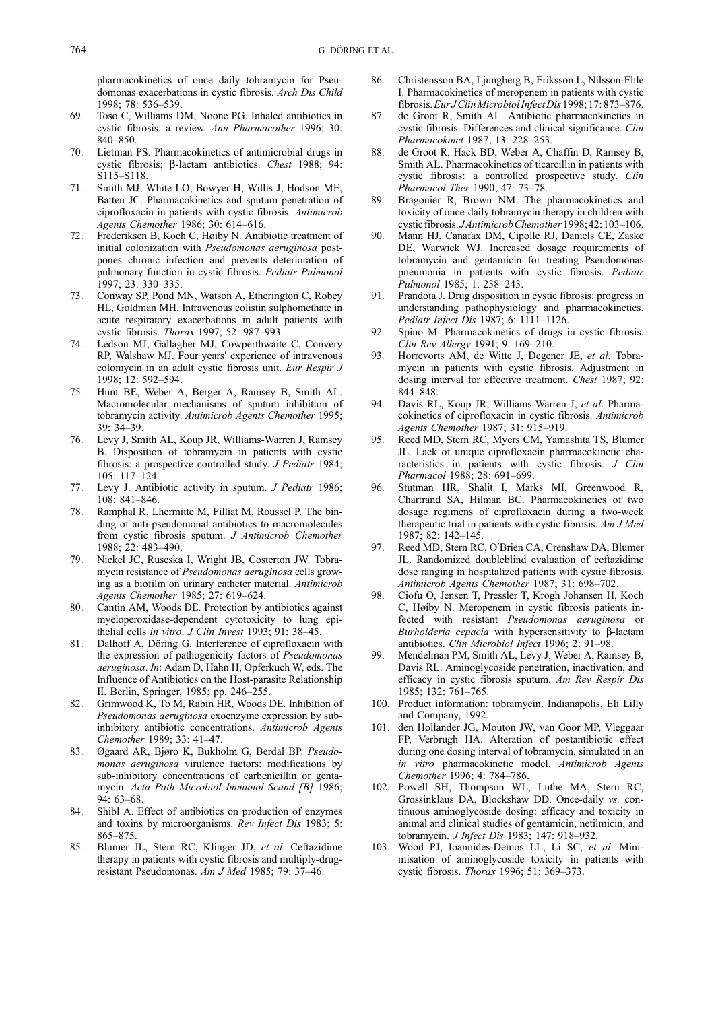pharmacokinetics of once daily tobramycin for Pseudomonas exacerbations in cystic fibrosis. Arch Dis Child 1998; 78: 536-539.

- 69. Toso C, Williams DM, Noone PG. Inhaled antibiotics in cystic fibrosis: a review. Ann Pharmacother 1996; 30: 840-850.
- 70. Lietman PS. Pharmacokinetics of antimicrobial drugs in cystic fibrosis; b-lactam antibiotics. Chest 1988; 94: S<sub>115</sub> $-$ S<sub>118</sub>
- 71. Smith MJ, White LO, Bowyer H, Willis J, Hodson ME, Batten JC. Pharmacokinetics and sputum penetration of ciprofloxacin in patients with cystic fibrosis. Antimicrob Agents Chemother 1986; 30: 614-616.
- 72. Frederiksen B, Koch C, Høiby N. Antibiotic treatment of initial colonization with Pseudomonas aeruginosa postpones chronic infection and prevents deterioration of pulmonary function in cystic fibrosis. Pediatr Pulmonol 1997; 23: 330-335.
- 73. Conway SP, Pond MN, Watson A, Etherington C, Robey HL, Goldman MH. Intravenous colistin sulphomethate in acute respiratory exacerbations in adult patients with cystic fibrosis. Thorax 1997; 52: 987-993.
- 74. Ledson MJ, Gallagher MJ, Cowperthwaite C, Convery RP, Walshaw MJ. Four years' experience of intravenous colomycin in an adult cystic fibrosis unit. Eur Respir J 1998; 12: 592-594.
- 75. Hunt BE, Weber A, Berger A, Ramsey B, Smith AL. Macromolecular mechanisms of sputum inhibition of tobramycin activity. Antimicrob Agents Chemother 1995; 39: 34±39.
- 76. Levy J, Smith AL, Koup JR, Williams-Warren J, Ramsey B. Disposition of tobramycin in patients with cystic fibrosis: a prospective controlled study. J Pediatr 1984; 105: 117±124.
- 77. Levy J. Antibiotic activity in sputum. J Pediatr 1986; 108: 841-846.
- 78. Ramphal R, Lhermitte M, Filliat M, Roussel P. The binding of anti-pseudomonal antibiotics to macromolecules from cystic fibrosis sputum. J Antimicrob Chemother 1988; 22: 483-490.
- 79. Nickel JC, Ruseska I, Wright JB, Costerton JW. Tobramycin resistance of Pseudomonas aeruginosa cells growing as a biofilm on urinary catheter material. Antimicrob Agents Chemother 1985; 27: 619-624.
- 80. Cantin AM, Woods DE. Protection by antibiotics against myeloperoxidase-dependent cytotoxicity to lung epithelial cells in vitro. J Clin Invest 1993; 91: 38-45.
- 81. Dalhoff A, Döring G. Interference of ciprofloxacin with the expression of pathogenicity factors of Pseudomonas aeruginosa. In: Adam D, Hahn H, Opferkuch W, eds. The Influence of Antibiotics on the Host-parasite Relationship II. Berlin, Springer, 1985; pp. 246-255.
- 82. Grimwood K, To M, Rabin HR, Woods DE. Inhibition of Pseudomonas aeruginosa exoenzyme expression by subinhibitory antibiotic concentrations. Antimicrob Agents Chemother 1989; 33: 41-47.
- 83. Øgaard AR, Bjøro K, Bukholm G, Berdal BP. Pseudomonas aeruginosa virulence factors: modifications by sub-inhibitory concentrations of carbenicillin or gentamycin. Acta Path Microbiol Immunol Scand [B] 1986;  $94: 63-68.$
- 84. Shibl A. Effect of antibiotics on production of enzymes and toxins by microorganisms. Rev Infect Dis 1983; 5: 865±875.
- 85. Blumer JL, Stern RC, Klinger JD, et al. Ceftazidime therapy in patients with cystic fibrosis and multiply-drugresistant Pseudomonas. Am J Med 1985; 79: 37-46.
- 86. Christensson BA, Ljungberg B, Eriksson L, Nilsson-Ehle I. Pharmacokinetics of meropenem in patients with cystic fibrosis. Eur J Clin Microbiol Infect Dis 1998; 17: 873-876.
- 87. de Groot R, Smith AL. Antibiotic pharmacokinetics in cystic fibrosis. Differences and clinical significance. Clin Pharmacokinet 1987; 13: 228-253.
- 88. de Groot R, Hack BD, Weber A, Chaffin D, Ramsey B, Smith AL. Pharmacokinetics of ticarcillin in patients with cystic fibrosis: a controlled prospective study. Clin Pharmacol Ther 1990; 47: 73-78.
- 89. Bragonier R, Brown NM. The pharmacokinetics and toxicity of once-daily tobramycin therapy in children with cystic fibrosis. JAntimicrob Chemother 1998; 42: 103-106.
- 90. Mann HJ, Canafax DM, Cipolle RJ, Daniels CE, Zaske DE, Warwick WJ. Increased dosage requirements of tobramycin and gentamicin for treating Pseudomonas pneumonia in patients with cystic fibrosis. Pediatr Pulmonol 1985; 1: 238-243.
- 91. Prandota J. Drug disposition in cystic fibrosis: progress in understanding pathophysiology and pharmacokinetics. Pediatr Infect Dis 1987; 6: 1111-1126.
- 92. Spino M. Pharmacokinetics of drugs in cystic fibrosis. Clin Rev Allergy 1991; 9: 169-210.
- 93. Horrevorts AM, de Witte J, Degener JE, et al. Tobramycin in patients with cystic fibrosis. Adjustment in dosing interval for effective treatment. Chest 1987; 92: 844-848.
- 94. Davis RL, Koup JR, Williams-Warren J, et al. Pharmacokinetics of ciprofloxacin in cystic fibrosis. Antimicrob Agents Chemother 1987; 31: 915-919.
- 95. Reed MD, Stern RC, Myers CM, Yamashita TS, Blumer JL. Lack of unique ciprofloxacin pharrnacokinetic characteristics in patients with cystic fibrosis. J Clin Pharmacol 1988; 28: 691-699.
- 96. Stutman HR, Shalit I, Marks MI, Greenwood R, Chartrand SA, Hilman BC. Pharmacokinetics of two dosage regimens of ciprofloxacin during a two-week therapeutic trial in patients with cystic fibrosis. Am J Med 1987: 82: 142-145.
- 97. Reed MD, Stern RC, O'Brien CA, Crenshaw DA, Blumer JL. Randomized doubleblind evaluation of ceftazidime dose ranging in hospitalized patients with cystic fibrosis. Antimicrob Agents Chemother 1987; 31: 698-702.
- 98. Ciofu O, Jensen T, Pressler T, Krogh Johansen H, Koch C, Høiby N. Meropenem in cystic fibrosis patients infected with resistant Pseudomonas aeruginosa or Burholderia cepacia with hypersensitivity to  $\beta$ -lactam antibiotics. Clin Microbiol Infect 1996; 2: 91-98.
- 99. Mendelman PM, Smith AL, Levy J, Weber A, Ramsey B, Davis RL. Aminoglycoside penetration, inactivation, and efficacy in cystic fibrosis sputum. Am Rev Respir Dis 1985; 132: 761-765.
- 100. Product information: tobramycin. Indianapolis, Eli Lilly and Company, 1992.
- 101. den Hollander JG, Mouton JW, van Goor MP, Vleggaar FP, Verbrugh HA. Alteration of postantibiotic effect during one dosing interval of tobramycin, simulated in an in vitro pharmacokinetic model. Antimicrob Agents Chemother 1996; 4: 784-786.
- 102. Powell SH, Thompson WL, Luthe MA, Stern RC, Grossinklaus DA, Blockshaw DD. Once-daily vs. continuous aminoglycoside dosing: efficacy and toxicity in animal and clinical studies of gentamicin, netilmicin, and tobramycin. J Infect Dis 1983; 147: 918-932.
- 103. Wood PJ, Ioannides-Demos LL, Li SC, et al. Minimisation of aminoglycoside toxicity in patients with cystic fibrosis. Thorax 1996; 51: 369-373.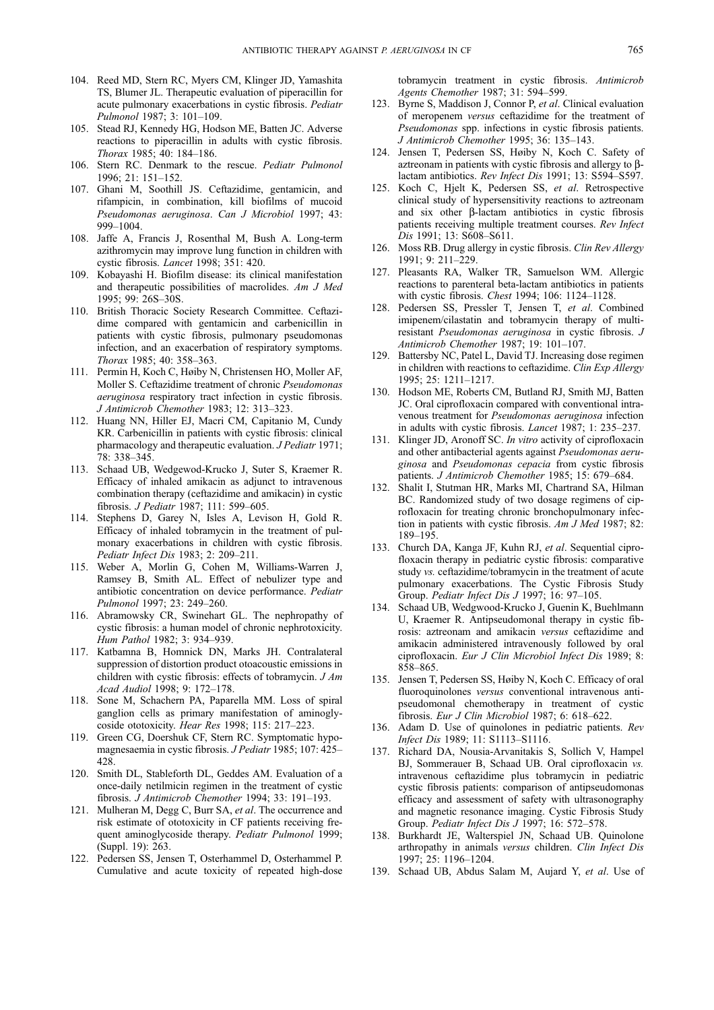- 104. Reed MD, Stern RC, Myers CM, Klinger JD, Yamashita TS, Blumer JL. Therapeutic evaluation of piperacillin for acute pulmonary exacerbations in cystic fibrosis. Pediatr Pulmonol 1987; 3: 101-109.
- 105. Stead RJ, Kennedy HG, Hodson ME, Batten JC. Adverse reactions to piperacillin in adults with cystic fibrosis. Thorax 1985; 40: 184-186.
- 106. Stern RC. Denmark to the rescue. Pediatr Pulmonol 1996; 21: 151-152.
- 107. Ghani M, Soothill JS. Ceftazidime, gentamicin, and rifampicin, in combination, kill biofilms of mucoid Pseudomonas aeruginosa. Can J Microbiol 1997; 43: 999±1004.
- 108. Jaffe A, Francis J, Rosenthal M, Bush A. Long-term azithromycin may improve lung function in children with cystic fibrosis. Lancet 1998; 351: 420.
- 109. Kobayashi H. Biofilm disease: its clinical manifestation and therapeutic possibilities of macrolides. Am J Med 1995; 99: 26S-30S.
- 110. British Thoracic Society Research Committee. Ceftazidime compared with gentamicin and carbenicillin in patients with cystic fibrosis, pulmonary pseudomonas infection, and an exacerbation of respiratory symptoms. Thorax 1985; 40: 358-363.
- 111. Permin H, Koch C, Høiby N, Christensen HO, Moller AF, Moller S. Ceftazidime treatment of chronic Pseudomonas aeruginosa respiratory tract infection in cystic fibrosis. J Antimicrob Chemother 1983; 12: 313-323.
- 112. Huang NN, Hiller EJ, Macri CM, Capitanio M, Cundy KR. Carbenicillin in patients with cystic fibrosis: clinical pharmacology and therapeutic evaluation. J Pediatr 1971; 78: 338±345.
- 113. Schaad UB, Wedgewod-Krucko J, Suter S, Kraemer R. Efficacy of inhaled amikacin as adjunct to intravenous combination therapy (ceftazidime and amikacin) in cystic fibrosis. J Pediatr 1987; 111: 599-605.
- 114. Stephens D, Garey N, Isles A, Levison H, Gold R. Efficacy of inhaled tobramycin in the treatment of pulmonary exacerbations in children with cystic fibrosis. Pediatr Infect Dis 1983; 2: 209-211.
- 115. Weber A, Morlin G, Cohen M, Williams-Warren J, Ramsey B, Smith AL. Effect of nebulizer type and antibiotic concentration on device performance. Pediatr Pulmonol 1997; 23: 249-260.
- 116. Abramowsky CR, Swinehart GL. The nephropathy of cystic fibrosis: a human model of chronic nephrotoxicity. Hum Pathol 1982; 3: 934-939.
- 117. Katbamna B, Homnick DN, Marks JH. Contralateral suppression of distortion product otoacoustic emissions in children with cystic fibrosis: effects of tobramycin. J Am Acad Audiol 1998; 9: 172-178.
- 118. Sone M, Schachern PA, Paparella MM. Loss of spiral ganglion cells as primary manifestation of aminoglycoside ototoxicity. Hear Res 1998; 115: 217-223.
- 119. Green CG, Doershuk CF, Stern RC. Symptomatic hypomagnesaemia in cystic fibrosis. J Pediatr 1985; 107: 425-428.
- 120. Smith DL, Stableforth DL, Geddes AM. Evaluation of a once-daily netilmicin regimen in the treatment of cystic fibrosis. J Antimicrob Chemother 1994; 33: 191-193.
- 121. Mulheran M, Degg C, Burr SA, et al. The occurrence and risk estimate of ototoxicity in CF patients receiving frequent aminoglycoside therapy. Pediatr Pulmonol 1999; (Suppl. 19): 263.
- 122. Pedersen SS, Jensen T, Osterhammel D, Osterhammel P. Cumulative and acute toxicity of repeated high-dose

tobramycin treatment in cystic fibrosis. Antimicrob Agents Chemother 1987; 31: 594-599.

- 123. Byrne S, Maddison J, Connor P, et al. Clinical evaluation of meropenem versus ceftazidime for the treatment of Pseudomonas spp. infections in cystic fibrosis patients. J Antimicrob Chemother 1995; 36: 135-143.
- 124. Jensen T, Pedersen SS, Høiby N, Koch C. Safety of aztreonam in patients with cystic fibrosis and allergy to  $\beta$ lactam antibiotics. Rev Infect Dis 1991; 13: S594-S597.
- 125. Koch C, Hjelt K, Pedersen SS, et al. Retrospective clinical study of hypersensitivity reactions to aztreonam and six other  $\beta$ -lactam antibiotics in cystic fibrosis patients receiving multiple treatment courses. Rev Infect Dis 1991; 13: S608-S611.
- 126. Moss RB. Drug allergy in cystic fibrosis. Clin Rev Allergy 1991; 9: 211-229.
- 127. Pleasants RA, Walker TR, Samuelson WM. Allergic reactions to parenteral beta-lactam antibiotics in patients with cystic fibrosis. Chest 1994; 106: 1124-1128.
- 128. Pedersen SS, Pressler T, Jensen T, et al. Combined imipenem/cilastatin and tobramycin therapy of multiresistant Pseudomonas aeruginosa in cystic fibrosis. J Antimicrob Chemother 1987; 19: 101-107.
- 129. Battersby NC, Patel L, David TJ. Increasing dose regimen in children with reactions to ceftazidime. Clin Exp Allergy 1995; 25: 1211-1217.
- 130. Hodson ME, Roberts CM, Butland RJ, Smith MJ, Batten JC. Oral ciprofloxacin compared with conventional intravenous treatment for Pseudomonas aeruginosa infection in adults with cystic fibrosis. Lancet  $1987$ ; 1: 235-237.
- 131. Klinger JD, Aronoff SC. In vitro activity of ciprofloxacin and other antibacterial agents against Pseudomonas aeruginosa and Pseudomonas cepacia from cystic fibrosis patients. *J Antimicrob Chemother* 1985; 15: 679–684.
- 132. Shalit I, Stutman HR, Marks MI, Chartrand SA, Hilman BC. Randomized study of two dosage regimens of ciprofloxacin for treating chronic bronchopulmonary infection in patients with cystic fibrosis. Am J Med 1987; 82: 189±195.
- 133. Church DA, Kanga JF, Kuhn RJ, et al. Sequential ciprofloxacin therapy in pediatric cystic fibrosis: comparative study vs. ceftazidime/tobramycin in the treatment of acute pulmonary exacerbations. The Cystic Fibrosis Study Group. Pediatr Infect Dis J 1997; 16: 97-105.
- 134. Schaad UB, Wedgwood-Krucko J, Guenin K, Buehlmann U, Kraemer R. Antipseudomonal therapy in cystic fibrosis: aztreonam and amikacin versus ceftazidime and amikacin administered intravenously followed by oral ciprofloxacin. Eur J Clin Microbiol Infect Dis 1989; 8: 858=865.
- 135. Jensen T, Pedersen SS, Høiby N, Koch C. Efficacy of oral fluoroquinolones versus conventional intravenous antipseudomonal chemotherapy in treatment of cystic fibrosis. Eur J Clin Microbiol 1987; 6: 618-622.
- 136. Adam D. Use of quinolones in pediatric patients. Rev Infect Dis 1989; 11: S1113-S1116.
- 137. Richard DA, Nousia-Arvanitakis S, Sollich V, Hampel BJ, Sommerauer B, Schaad UB. Oral ciprofloxacin vs. intravenous ceftazidime plus tobramycin in pediatric cystic fibrosis patients: comparison of antipseudomonas efficacy and assessment of safety with ultrasonography and magnetic resonance imaging. Cystic Fibrosis Study Group. Pediatr Infect Dis J 1997; 16: 572-578.
- 138. Burkhardt JE, Walterspiel JN, Schaad UB. Quinolone arthropathy in animals versus children. Clin Infect Dis 1997; 25: 1196-1204.
- 139. Schaad UB, Abdus Salam M, Aujard Y, et al. Use of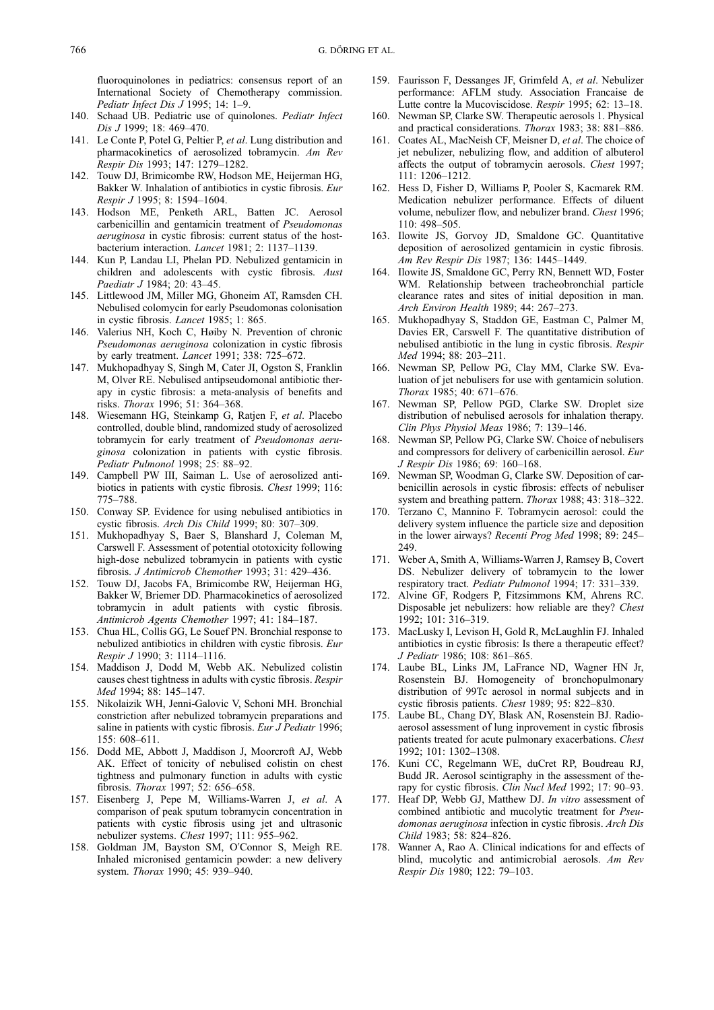fluoroquinolones in pediatrics: consensus report of an International Society of Chemotherapy commission. Pediatr Infect Dis J 1995; 14: 1-9.

- 140. Schaad UB. Pediatric use of quinolones. Pediatr Infect Dis J 1999: 18: 469-470.
- 141. Le Conte P, Potel G, Peltier P, et al. Lung distribution and pharmacokinetics of aerosolized tobramycin. Am Rev Respir Dis 1993; 147: 1279-1282.
- 142. Touw DJ, Brimicombe RW, Hodson ME, Heijerman HG, Bakker W. Inhalation of antibiotics in cystic fibrosis. Eur Respir J 1995; 8: 1594-1604.
- 143. Hodson ME, Penketh ARL, Batten JC. Aerosol carbenicillin and gentamicin treatment of Pseudomonas aeruginosa in cystic fibrosis: current status of the hostbacterium interaction. Lancet 1981; 2: 1137-1139.
- 144. Kun P, Landau LI, Phelan PD. Nebulized gentamicin in children and adolescents with cystic fibrosis. Aust Paediatr J 1984; 20: 43-45.
- 145. Littlewood JM, Miller MG, Ghoneim AT, Ramsden CH. Nebulised colomycin for early Pseudomonas colonisation in cystic fibrosis. Lancet 1985; 1: 865.
- 146. Valerius NH, Koch C, Høiby N. Prevention of chronic Pseudomonas aeruginosa colonization in cystic fibrosis by early treatment. *Lancet* 1991; 338: 725-672.
- 147. Mukhopadhyay S, Singh M, Cater JI, Ogston S, Franklin M, Olver RE. Nebulised antipseudomonal antibiotic therapy in cystic fibrosis: a meta-analysis of benefits and risks. Thorax 1996; 51: 364-368.
- 148. Wiesemann HG, Steinkamp G, Ratjen F, et al. Placebo controlled, double blind, randomized study of aerosolized tobramycin for early treatment of Pseudomonas aeruginosa colonization in patients with cystic fibrosis. Pediatr Pulmonol 1998; 25: 88-92.
- 149. Campbell PW III, Saiman L. Use of aerosolized antibiotics in patients with cystic fibrosis. Chest 1999; 116: 775±788.
- 150. Conway SP. Evidence for using nebulised antibiotics in cystic fibrosis. Arch Dis Child 1999; 80: 307-309.
- 151. Mukhopadhyay S, Baer S, Blanshard J, Coleman M, Carswell F. Assessment of potential ototoxicity following high-dose nebulized tobramycin in patients with cystic fibrosis. J Antimicrob Chemother 1993; 31: 429-436.
- 152. Touw DJ, Jacobs FA, Brimicombe RW, Heijerman HG, Bakker W, Briemer DD. Pharmacokinetics of aerosolized tobramycin in adult patients with cystic fibrosis. Antimicrob Agents Chemother 1997; 41: 184-187.
- 153. Chua HL, Collis GG, Le Souef PN. Bronchial response to nebulized antibiotics in children with cystic fibrosis. Eur Respir J 1990; 3: 1114-1116.
- 154. Maddison J, Dodd M, Webb AK. Nebulized colistin causes chest tightness in adults with cystic fibrosis. Respir Med 1994; 88: 145-147.
- 155. Nikolaizik WH, Jenni-Galovic V, Schoni MH. Bronchial constriction after nebulized tobramycin preparations and saline in patients with cystic fibrosis. Eur J Pediatr 1996; 155: 608±611.
- 156. Dodd ME, Abbott J, Maddison J, Moorcroft AJ, Webb AK. Effect of tonicity of nebulised colistin on chest tightness and pulmonary function in adults with cystic fibrosis. Thorax 1997; 52: 656-658.
- 157. Eisenberg J, Pepe M, Williams-Warren J, et al. A comparison of peak sputum tobramycin concentration in patients with cystic fibrosis using jet and ultrasonic nebulizer systems. Chest 1997; 111: 955-962.
- 158. Goldman JM, Bayston SM, O'Connor S, Meigh RE. Inhaled micronised gentamicin powder: a new delivery system. Thorax 1990; 45: 939-940.
- 159. Faurisson F, Dessanges JF, Grimfeld A, et al. Nebulizer performance: AFLM study. Association Francaise de Lutte contre la Mucoviscidose. Respir 1995; 62: 13-18.
- 160. Newman SP, Clarke SW. Therapeutic aerosols 1. Physical and practical considerations. *Thorax* 1983: 38: 881-886.
- 161. Coates AL, MacNeish CF, Meisner D, et al. The choice of jet nebulizer, nebulizing flow, and addition of albuterol affects the output of tobramycin aerosols. Chest 1997; 111: 1206-1212.
- 162. Hess D, Fisher D, Williams P, Pooler S, Kacmarek RM. Medication nebulizer performance. Effects of diluent volume, nebulizer flow, and nebulizer brand. Chest 1996; 110: 498±505.
- 163. Ilowite JS, Gorvoy JD, Smaldone GC. Quantitative deposition of aerosolized gentamicin in cystic fibrosis. Am Rev Respir Dis 1987; 136: 1445-1449.
- 164. Ilowite JS, Smaldone GC, Perry RN, Bennett WD, Foster WM. Relationship between tracheobronchial particle clearance rates and sites of initial deposition in man. Arch Environ Health 1989; 44: 267-273.
- 165. Mukhopadhyay S, Staddon GE, Eastman C, Palmer M, Davies ER, Carswell F. The quantitative distribution of nebulised antibiotic in the lung in cystic fibrosis. Respir Med 1994; 88: 203-211.
- 166. Newman SP, Pellow PG, Clay MM, Clarke SW. Evaluation of jet nebulisers for use with gentamicin solution. Thorax 1985; 40: 671-676.
- 167. Newman SP, Pellow PGD, Clarke SW. Droplet size distribution of nebulised aerosols for inhalation therapy. Clin Phys Physiol Meas 1986; 7: 139-146.
- 168. Newman SP, Pellow PG, Clarke SW. Choice of nebulisers and compressors for delivery of carbenicillin aerosol. Eur J Respir Dis 1986; 69: 160-168.
- 169. Newman SP, Woodman G, Clarke SW. Deposition of carbenicillin aerosols in cystic fibrosis: effects of nebuliser system and breathing pattern. *Thorax* 1988; 43: 318–322.
- 170. Terzano C, Mannino F. Tobramycin aerosol: could the delivery system influence the particle size and deposition in the lower airways? Recenti Prog Med 1998; 89: 245-249.
- 171. Weber A, Smith A, Williams-Warren J, Ramsey B, Covert DS. Nebulizer delivery of tobramycin to the lower respiratory tract. Pediatr Pulmonol 1994; 17: 331-339.
- 172. Alvine GF, Rodgers P, Fitzsimmons KM, Ahrens RC. Disposable jet nebulizers: how reliable are they? Chest 1992; 101: 316-319.
- 173. MacLusky I, Levison H, Gold R, McLaughlin FJ. Inhaled antibiotics in cystic fibrosis: Is there a therapeutic effect? J Pediatr 1986; 108: 861-865.
- 174. Laube BL, Links JM, LaFrance ND, Wagner HN Jr, Rosenstein BJ. Homogeneity of bronchopulmonary distribution of 99Tc aerosol in normal subjects and in cystic fibrosis patients. Chest 1989: 95: 822 $-$ 830.
- 175. Laube BL, Chang DY, Blask AN, Rosenstein BJ. Radioaerosol assessment of lung inprovement in cystic fibrosis patients treated for acute pulmonary exacerbations. Chest 1992; 101: 1302-1308.
- 176. Kuni CC, Regelmann WE, duCret RP, Boudreau RJ, Budd JR. Aerosol scintigraphy in the assessment of therapy for cystic fibrosis. Clin Nucl Med 1992; 17: 90-93.
- 177. Heaf DP, Webb GJ, Matthew DJ. In vitro assessment of combined antibiotic and mucolytic treatment for Pseudomonas aeruginosa infection in cystic fibrosis. Arch Dis Child 1983; 58: 824-826.
- 178. Wanner A, Rao A. Clinical indications for and effects of blind, mucolytic and antimicrobial aerosols. Am Rev Respir Dis 1980; 122: 79-103.